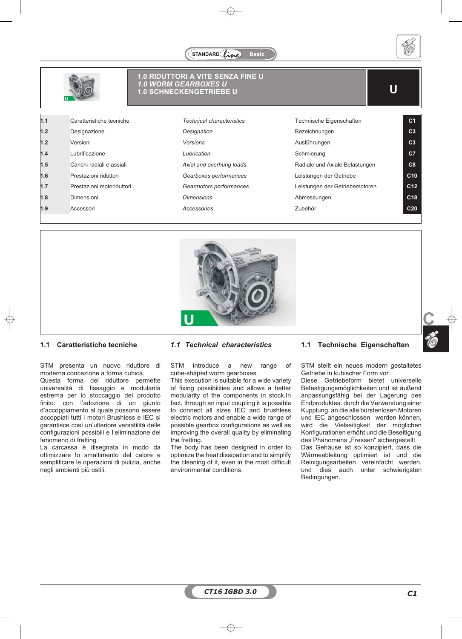



|     |                           | <b>1.0 RIDUTTORI A VITE SENZA FINE U</b><br><b>1.0 WORM GEARBOXES U</b><br><b>1.0 SCHNECKENGETRIEBE U</b> |                                |                 |
|-----|---------------------------|-----------------------------------------------------------------------------------------------------------|--------------------------------|-----------------|
| 1.1 | Caratteristiche tecniche  | <b>Technical characteristics</b>                                                                          | Technische Eigenschaften       | C <sub>1</sub>  |
| 1.2 | Designazione              | Designation                                                                                               | Bezeichnungen                  | C <sub>3</sub>  |
| 1.2 | Versioni                  | Versions                                                                                                  | Ausführungen                   | C <sub>3</sub>  |
| 1.4 | Lubrificazione            | Lubrication                                                                                               | Schmierung                     | C <sub>7</sub>  |
| 1.5 | Carichi radiali e assiali | Axial and overhung loads                                                                                  | Radiale und Axiale Belastungen | C8              |
| 1.6 | Prestazioni riduttori     | Gearboxes performances                                                                                    | Leistungen der Getriebe        | C10             |
| 1.7 | Prestazioni motoriduttori | Gearmotors performances                                                                                   | Leistungen der Getriebemotoren | C <sub>12</sub> |
| 1.8 | Dimensioni                | <b>Dimensions</b>                                                                                         | Abmessungen                    | C <sub>18</sub> |
| 1.9 | Accessori                 | Accessories                                                                                               | Zubehör                        | C <sub>20</sub> |
|     |                           |                                                                                                           |                                |                 |



## **1.1 Caratteristiche tecniche** *1.1 Technical characteristics* **1.1 Technische Eigenschaften**

STM presenta un nuovo riduttore di moderna concezione a forma cubica. Questa forma del riduttore permette universalità di fissaggio e modularità estrema per lo stoccaggio del prodotto finito: con l'adozione di un giunto d'accoppiamento al quale possono essere accoppiati tutti i motori Brushless e IEC si garantisce così un'ulteriore versatilità delle configurazioni possibili e l'eliminazione del fenomeno di fretting.

La carcassa è disegnata in modo da ottimizzare lo smaltimento del calore e semplificare le operazioni di pulizia, anche negli ambienti più ostili.

STM introduce a new range of cube-shaped worm gearboxes.

This execution is suitable for a wide variety of fixing possibilities and allows a better modularity of the components in stock.In fact, through an input coupling it is possible to connect all sizes IEC and brushless electric motors and enable a wide range of possible gearbox configurations as well as improving the overall quality by eliminating the fretting.

The body has been designed in order to optimize the heat dissipation and to simplify the cleaning of it, even in the most difficult environmental conditions.

STM stellt ein neues modern gestaltetes Getriebe in kubischer Form vor.

Diese Getriebeform bietet universelle Befestigungsmöglichkeiten und ist äußerst anpassungsfähig bei der Lagerung des Endproduktes: durch die Verwendung einer Kupplung, an die alle bürstenlosen Motoren und IEC angeschlossen werden können, wird die Vielseitigkeit der möglichen Konfigurationen erhöht und die Beseitigung des Phänomens "Fressen" sichergestellt.

Das Gehäuse ist so konzipiert, dass die Wärmeableitung optimiert ist und die Reinigungsarbeiten vereinfacht werden, und dies auch unter schwierigsten Bedingungen.

**C**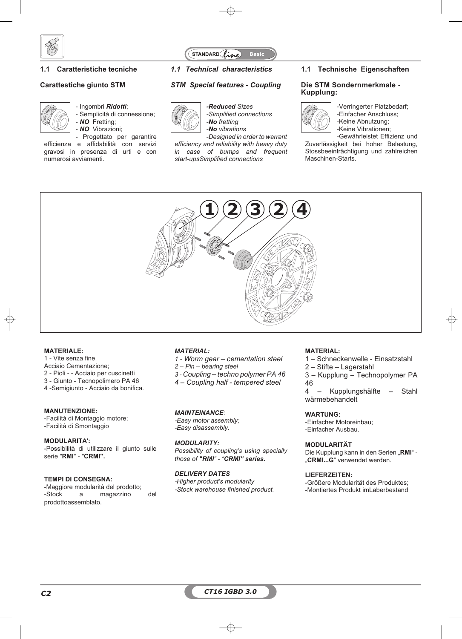





## - Ingombri *Ridotti*;

- Semplicità di connessione; - *NO* Fretting;

- *NO* Vibrazioni;

- Progettato per garantire efficienza e affidabilità con servizi gravosi in presenza di urti e con numerosi avviamenti.

## **Carattestiche giunto STM** *STM Special features - Coupling* **Die STM Sondernmerkmale -**



*-Reduced Sizes -Simplified connections -No fretting -No vibrations -Designed in order to warrant*

*efficiency and reliability with heavy duty in case of bumps and frequent start-upsSimplified connections*

## **1.1 Caratteristiche tecniche** *1.1 Technical characteristics* **1.1 Technische Eigenschaften**

# **Kupplung:**



-Verringerter Platzbedarf; -Einfacher Anschluss; -Keine Abnutzung; -Keine Vibrationen; -Gewährleistet Effizienz und

Zuverlässigkeit bei hoher Belastung, Stossbeeinträchtigung und zahlreichen Maschinen-Starts.



## **MATERIALE:**

1 - Vite senza fine

- Acciaio Cementazione;
- 2 Pioli - Acciaio per cuscinetti
- 3 Giunto Tecnopolimero PA 46
- 4 -Semigiunto Acciaio da bonifica.

#### **MANUTENZIONE:**

-Facilità di Montaggio motore; -Facilità di Smontaggio

#### **MODULARITA':**

-Possibilità di utilizzare il giunto sulle serie "**RMI**"-"**CRMI".**

#### **TEMPI DI CONSEGNA:**

-Maggiore modularità del prodotto; -Stock a magazzino del prodottoassemblato.

#### *MATERIAL:*

- *1 - Worm gear cementation steel*
- *2 Pin bearing steel*
- *3 - Coupling techno polymer PA 46*
- *4 Coupling half tempered steel*

## *MAINTEINANCE:*

*-Easy motor assembly; -Easy disassembly.*

#### *MODULARITY:*

*Possibility of coupling's using specially those of "RMI"-"CRMI" series.*

## *DELIVERY DATES*

*-Higher product's modularity -Stock warehouse finished product.*

#### **MATERIAL:**

- 1 Schneckenwelle Einsatzstahl
- 2 Stifte Lagerstahl
- 3 Kupplung Technopolymer PA

46<br>4 4 – Kupplungshälfte – Stahl wärmebehandelt

#### **WARTUNG:**

-Einfacher Motoreinbau; -Einfacher Ausbau.

#### **MODULARITÄT**

Die Kupplung kann in den Serien "RMI" -"**CRMI...G**" verwendet werden.

## **LIEFERZEITEN:**

-Größere Modularität des Produktes; -Montiertes Produkt imLaberbestand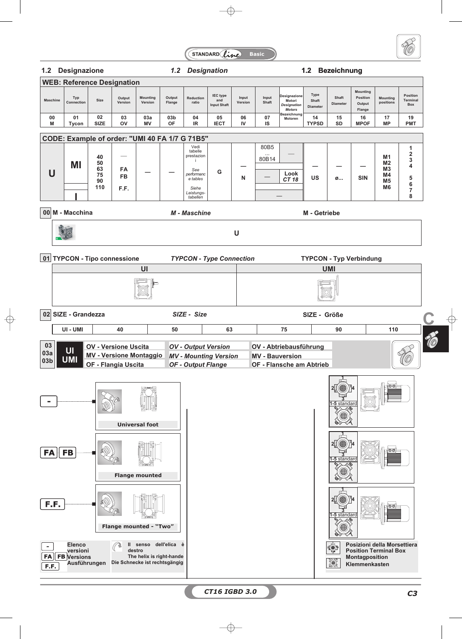





*CT16 IGBD 3.0 C3*

To

**6**

**7**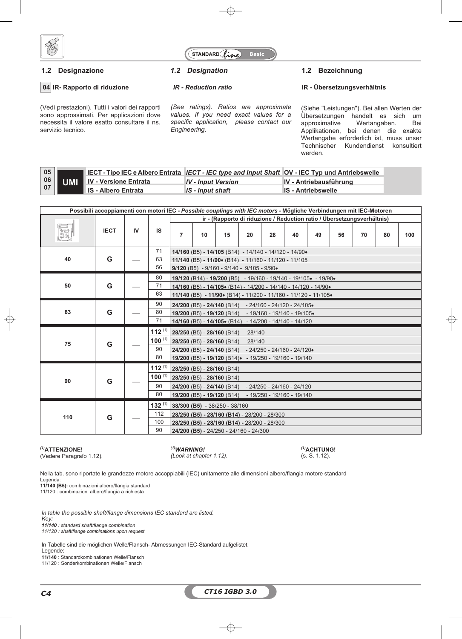

 $\zeta$ STANDARD $\zeta_{\mathcal{U}}$ **Basic**

## **1.2 Designazione 1.2 Bezeichnung** *1.2 Designation*

## **04 IR- Rapporto di riduzione** *IR - Reduction ratio* **IR - Übersetzungsverhältnis**

(Vedi prestazioni). Tutti i valori dei rapporti sono approssimati. Per applicazioni dove necessita il valore esatto consultare il ns. servizio tecnico.

*(See ratings). Ratios are approximate values. If you need exact values for a specific application, please contact our Engineering.*

(Siehe "Leistungen"). Bei allen Werten der Übersetzungen handelt es sich um approximative Wertangaben. Bei Applikationen, bei denen die exakte Wertangabe erforderlich ist, muss unser<br>Technischer Kundendienst konsultiert Kundendienst konsultiert werden.

| 05 |                                                                     |                           | <b>IECT - Tipo IEC e Albero Entrata IECT - IEC type and Input Shaft OV - IEC Typ und Antriebswelle</b> |  |
|----|---------------------------------------------------------------------|---------------------------|--------------------------------------------------------------------------------------------------------|--|
|    | <b>195 UMI IV - Versione Entrata</b><br>197 UMI IS - Albero Entrata | <b>IV - Input Version</b> | <b>IV - Antriebausführung</b>                                                                          |  |
|    | <b>IS - Albero Entrata</b>                                          | <b>IS - Input shaft</b>   | <b>IS - Antriebswelle</b>                                                                              |  |

|     | Possibili accoppiamenti con motori IEC - Possible couplings with IEC motors - Mögliche Verbindungen mit IEC-Motoren |    |           |                |                                                                         |    |        |                                                                 |    |    |    |    |    |     |  |
|-----|---------------------------------------------------------------------------------------------------------------------|----|-----------|----------------|-------------------------------------------------------------------------|----|--------|-----------------------------------------------------------------|----|----|----|----|----|-----|--|
|     |                                                                                                                     |    |           |                | ir - (Rapporto di riduzione / Reduction ratio / Übersetzungsverhältnis) |    |        |                                                                 |    |    |    |    |    |     |  |
|     | <b>IECT</b>                                                                                                         | IV | <b>IS</b> | $\overline{7}$ | 10                                                                      | 15 | 20     | 28                                                              | 40 | 49 | 56 | 70 | 80 | 100 |  |
|     |                                                                                                                     |    | 71        |                |                                                                         |    |        | 14/160 (B5) - 14/105 (B14) - 14/140 - 14/120 - 14/90.           |    |    |    |    |    |     |  |
| 40  | G                                                                                                                   |    | 63        |                | 11/140 (B5) - 11/90• (B14) - 11/160 - 11/120 - 11/105                   |    |        |                                                                 |    |    |    |    |    |     |  |
|     |                                                                                                                     |    | 56        |                | $9/120$ (B5) - $9/160$ - $9/140$ - $9/105$ - $9/90\bullet$              |    |        |                                                                 |    |    |    |    |    |     |  |
|     |                                                                                                                     |    | 80        |                |                                                                         |    |        | 19/120 (B14) - 19/200 (B5) - 19/160 - 19/140 - 19/105 - 19/90 - |    |    |    |    |    |     |  |
| 50  | G                                                                                                                   |    | 71        |                |                                                                         |    |        | 14/160 (B5) - 14/105• (B14) - 14/200 - 14/140 - 14/120 - 14/90• |    |    |    |    |    |     |  |
|     |                                                                                                                     |    | 63        |                |                                                                         |    |        | 11/140 (B5) - 11/90• (B14) - 11/200 - 11/160 - 11/120 - 11/105• |    |    |    |    |    |     |  |
|     | G                                                                                                                   |    | 90        |                |                                                                         |    |        | 24/200 (B5) - 24/140 (B14) - 24/160 - 24/120 - 24/105.          |    |    |    |    |    |     |  |
| 63  |                                                                                                                     |    | 80        |                | 19/200 (B5) - 19/120 (B14) - 19/160 - 19/140 - 19/105.                  |    |        |                                                                 |    |    |    |    |    |     |  |
|     |                                                                                                                     |    | 71        |                |                                                                         |    |        | 14/160 (B5) - 14/105• (B14) - 14/200 - 14/140 - 14/120          |    |    |    |    |    |     |  |
|     | G                                                                                                                   |    | 112 $(1)$ |                |                                                                         |    | 28/140 |                                                                 |    |    |    |    |    |     |  |
|     |                                                                                                                     |    | 100 $(1)$ |                | 28/250 (B5) - 28/160 (B14)<br>28/250 (B5) - 28/160 (B14)<br>28/140      |    |        |                                                                 |    |    |    |    |    |     |  |
| 75  |                                                                                                                     |    | 90        |                | 24/200 (B5) - 24/140 (B14) - 24/250 - 24/160 - 24/120.                  |    |        |                                                                 |    |    |    |    |    |     |  |
|     |                                                                                                                     |    | 80        |                |                                                                         |    |        | 19/200 (B5) - 19/120 (B14) - 19/250 - 19/160 - 19/140           |    |    |    |    |    |     |  |
|     |                                                                                                                     |    | 112 $(1)$ |                | 28/250 (B5) - 28/160 (B14)                                              |    |        |                                                                 |    |    |    |    |    |     |  |
|     |                                                                                                                     |    | 100 $(1)$ |                |                                                                         |    |        |                                                                 |    |    |    |    |    |     |  |
| 90  | G                                                                                                                   |    |           |                | 28/250 (B5) - 28/160 (B14)                                              |    |        |                                                                 |    |    |    |    |    |     |  |
|     |                                                                                                                     |    | 90<br>80  |                |                                                                         |    |        | 24/200 (B5) - 24/140 (B14) - 24/250 - 24/160 - 24/120           |    |    |    |    |    |     |  |
|     |                                                                                                                     |    |           |                |                                                                         |    |        | 19/200 (B5) - 19/120 (B14) - 19/250 - 19/160 - 19/140           |    |    |    |    |    |     |  |
|     |                                                                                                                     |    | 132 $(1)$ |                | 38/300 (B5) - 38/250 - 38/160                                           |    |        |                                                                 |    |    |    |    |    |     |  |
| 110 | G                                                                                                                   |    | 112       |                |                                                                         |    |        | 28/250 (B5) - 28/160 (B14) - 28/200 - 28/300                    |    |    |    |    |    |     |  |
|     |                                                                                                                     |    | 100       |                |                                                                         |    |        | 28/250 (B5) - 28/160 (B14) - 28/200 - 28/300                    |    |    |    |    |    |     |  |
|     |                                                                                                                     |    | 90        |                | 24/200 (B5) - 24/250 - 24/160 - 24/300                                  |    |        |                                                                 |    |    |    |    |    |     |  |

*(1)***ATTENZIONE!**

(Vedere Paragrafo 1.12).

*(1)WARNING! (Look at chapter 1.12).* *(1)***ACHTUNG!** (s. S. 1.12).

Nella tab. sono riportate le grandezze motore accoppiabili (IEC) unitamente alle dimensioni albero/flangia motore standard Legenda:

**11/140 (B5):** combinazioni albero/flangia standard

11/120 : combinazioni albero/flangia a richiesta

*In table the possible shaft/flange dimensions IEC standard are listed. Key: 11/140 : standard shaft/flange combination 11/120 : shaft/flange combinations upon request*

In Tabelle sind die möglichen Welle/Flansch- Abmessungen IEC-Standard aufgelistet.

Legende:

**11/140** : Standardkombinationen Welle/Flansch

11/120 : Sonderkombinationen Welle/Flansch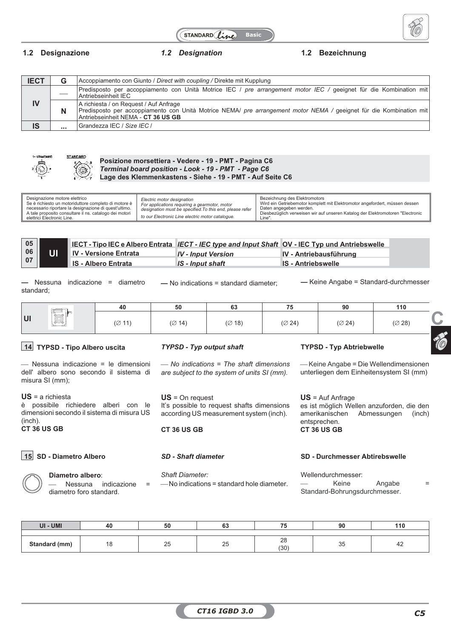



## **1.2 Designazione 1.2 Bezeichnung** *1.2 Designation*

| <b>IECT</b> | G           | Accoppiamento con Giunto / Direct with coupling / Direkte mit Kupplung                                                                                                                              |  |  |  |  |  |  |  |
|-------------|-------------|-----------------------------------------------------------------------------------------------------------------------------------------------------------------------------------------------------|--|--|--|--|--|--|--|
|             |             | Predisposto per accoppiamento con Unità Motrice IEC / pre arrangement motor IEC / geeignet für die Kombination mit<br>Antriebseinheit IEC                                                           |  |  |  |  |  |  |  |
| IV          | N           | A richiesta / on Request / Auf Anfrage<br>Predisposto per accoppiamento con Unità Motrice NEMA/ pre arrangement motor NEMA / geeignet für die Kombination mit<br>Antriebseinheit NEMA - CT 36 US GB |  |  |  |  |  |  |  |
| IS          | <b>A 10</b> | Grandezza IEC / Size IEC /                                                                                                                                                                          |  |  |  |  |  |  |  |



#### **Posizione morsettiera - Vedere - 19 - PMT - Pagina C6** *Terminal board position - Look - 19 - PMT - Page C6* **Lage des Klemmenkastens - Siehe - 19 - PMT - Auf Seite C6**

| Designazione motore elettrico<br>Se è richiesto un motoriduttore completo di motore è<br>necessario riportare la designazione di quest'ultimo.<br>A tale proposito consultare il ns. catalogo dei motori<br>elettrici Electronic Line. | Electric motor designation<br>For applications requiring a gearmotor, motor<br>designation must be specified. To this end, please refer<br>to our Electronic Line electric motor catalogue. | Bezeichnung des Elektromotors<br>Wird ein Getriebemotor komplett mit Elektromotor angefordert, müssen dessen<br>Daten angegeben werden.<br>Diesbezüglich verweisen wir auf unseren Katalog der Elektromotoren "Electronic<br>Line' |
|----------------------------------------------------------------------------------------------------------------------------------------------------------------------------------------------------------------------------------------|---------------------------------------------------------------------------------------------------------------------------------------------------------------------------------------------|------------------------------------------------------------------------------------------------------------------------------------------------------------------------------------------------------------------------------------|
|----------------------------------------------------------------------------------------------------------------------------------------------------------------------------------------------------------------------------------------|---------------------------------------------------------------------------------------------------------------------------------------------------------------------------------------------|------------------------------------------------------------------------------------------------------------------------------------------------------------------------------------------------------------------------------------|

| 05          |    |                            |                           | IECT - Tipo IEC e Albero Entrata IECT - IEC type and Input Shaft OV - IEC Typ und Antriebswelle |
|-------------|----|----------------------------|---------------------------|-------------------------------------------------------------------------------------------------|
| 06          | UI | IIV - Versione Entrata     | <b>IV - Input Version</b> | <b>IV - Antriebausführung</b>                                                                   |
| $\sqrt{07}$ |    | <b>IS - Albero Entrata</b> | <b>IS</b> - Input shaft   | <b>IS - Antriebswelle</b>                                                                       |

**—** Nessuna indicazione = diametro standard;

|    |              | 40               | 50              | $\sim$<br>ხა     | $\rightarrow$ $\rightarrow$ | 90              | 110              |  |
|----|--------------|------------------|-----------------|------------------|-----------------------------|-----------------|------------------|--|
| UI | ig p<br>യം—യ | $(\emptyset$ 11) | $(\emptyset$ 14 | $(\emptyset$ 18) | $(\emptyset$ 24)            | $(\emptyset$ 24 | $(\emptyset 28)$ |  |
|    |              |                  |                 |                  |                             |                 |                  |  |

## **14 TYPSD - Tipo Albero uscita** *TYPSD - Typ output shaft* **TYPSD - Typ Abtriebwelle**

- Nessuna indicazione = le dimensioni dell' albero sono secondo il sistema di misura SI (mm);

**US** = a richiesta

è possibile richiedere alberi con le dimensioni secondo il sistema di misura US (inch).

**CT 36 US GB**



**Diametro albero**: - Nessuna indicazione = diametro foro standard.

 *No indications = The shaft dimensions are subject to the system of units SI (mm)*.

**US** = On request It's possible to request shafts dimensions according US measurement system (inch).

**CT 36 US GB**

## **SD** - Shaft diameter

*Shaft Diameter:*

No indications = standard hole diameter.

**—** No indications = standard diameter; **—** Keine Angabe = Standard-durchmesser

- Keine Angabe = Die Wellendimensionen unterliegen dem Einheitensystem SI (mm)

**US** = Auf Anfrage es ist möglich Wellen anzuforden, die den<br>amerikanischen Abmessungen (inch) Abmessungen entsprechen. **CT 36 US GB**

## **15 SD - Diametro Albero** *SD - Shaft diameter* **SD - Durchmesser Abtirebswelle**

Wellendurchmesser: -Keine Angabe Standard-Bohrungsdurchmesser.

| UI - UMI      | 40 | 50           | $\sim$<br>ບປ | $\rightarrow$ $\rightarrow$ | 90                   | '10 |
|---------------|----|--------------|--------------|-----------------------------|----------------------|-----|
|               |    |              |              |                             |                      |     |
| Standard (mm) |    | $\sim$<br>ںے | $\sim$<br>ںے | 28<br>(30)                  | $\sim$ $\sim$<br>ັບປ | т.  |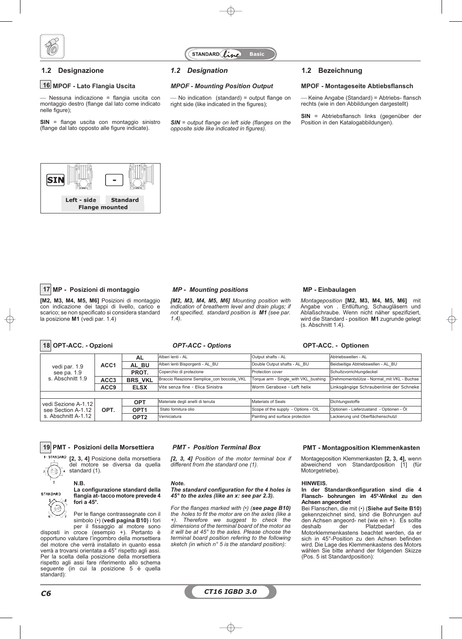

 $\frac{1}{2}$  STANDARD $\frac{1}{2}$ **Basic**

## **1.2 Designazione 1.2 Bezeichnung** *1.2 Designation*

 Nessuna indicazione = flangia uscita con montaggio destro (flange dal lato come indicato nelle figure);

**SIN** = flange uscita con montaggio sinistro (flange dal lato opposto alle figure indicate).

 No indication (standard) = output flange on right side (like indicated in the figures);

*SIN = output flange on left side (flanges on the opposite side like indicated in figures).*

## **16 MPOF - Lato Flangia Uscita** *MPOF - Mounting Position Output* **MPOF - Montageseite Abtiebsflansch**

 Keine Angabe (Standard) = Abtriebs- flansch rechts (wie in den Abbildungen dargestellt)

**SIN** = Abtriebsflansch links (gegenüber der Position in den Katalogabbildungen).



**17 MP - Posizioni di montaggio** *MP - Mounting positions* **MP - Einbaulagen**

**[M2, M3, M4, M5, M6]** Posizioni di montaggio con indicazione dei tappi di livello, carico e scarico; se non specificato si considera standard la posizione **M1** (vedi par. 1.4)

*[M2, M3, M4, M5, M6] Mounting position with indication of breatherm level and drain plugs; if not specified, standard position is M1 (see par. 1.4).*

*Montageposition* **[M2, M3, M4, M5, M6]** mit Angabe von . Entlüftung, Schaugläsern und Ablaßschraube. Wenn nicht näher spezifiziert, wird die Standard - position **M1** zugrunde gelegt (s. Abschnitt 1.4).

## **18 OPT-ACC. - Opzioni** *OPT-ACC - Options* **OPT-ACC. - Optionen**

|                                 |                                    | <b>AL</b>        | Alberi lenti - AL                         | Output shafts - AL                   | Abtriebswellen - AL                        |  |  |
|---------------------------------|------------------------------------|------------------|-------------------------------------------|--------------------------------------|--------------------------------------------|--|--|
| vedi par. 1.9                   | ACC <sub>1</sub>                   | AL BU            | Alberi lenti Bisporgenti - AL BU          | Double Output shafts - AL BU         | Beidseitige Abtriebswellen - AL BU         |  |  |
| see pa. 1.9<br>s. Abschnitt 1.9 |                                    | PROT.            | Coperchio di protezione                   | Protection cover                     | Schultzvorrichtungdeckel                   |  |  |
|                                 | <b>BRS VKL</b><br>ACC <sub>3</sub> |                  | Braccio Reazione Semplice con boccola VKL | Torque arm - Single with VKL bushing | Drehmomentstütze - Normal mit VKL - Buchse |  |  |
|                                 | ACC <sub>9</sub>                   | <b>ELSX</b>      | Vite senza fine - Elica Sinistra          | Worm Geraboxe - Left helix           | Linksgängige Schraubenlinie der Schneke    |  |  |
|                                 |                                    |                  |                                           |                                      |                                            |  |  |
| vedi Sezione A-1.12             |                                    | <b>OPT</b>       | Materiale degli anelli di tenuta          | Materials of Seals                   | Dichtungsstoffe                            |  |  |
| see Section A-1.12              | OPT.                               | OPT <sub>1</sub> | Stato fornitura olio                      | Scope of the supply - Options - OIL  | Optionen - Lieferzustand - Optionen - Öl   |  |  |
| s. Abschnitt A-1.12             |                                    | OPT <sub>2</sub> | Verniciatura                              | Painting and surface protection      | Lackierung und Oberflächenschutzl          |  |  |

1- STANDARD **[2, 3, 4]** Posizione della morsettiera del motore se diversa da quella standard (1).



**STANDARD** 

#### **La configurazione standard della flangia at- tacco motore prevede 4 fori a 45°.**

Per le flange contrassegnate con il simbolo (•) (**vedi pagina B10)** i fori per il fissaggio al motore sono

disposti in croce (esempio +). Pertanto è opportuno valutare l'ingombro della morsettiera del motore che verrà installato in quanto essa verrà a trovarsi orientata a 45° rispetto agli assi. Per la scelta della posizione della morsettiera rispetto agli assi fare riferimento allo schema seguente (in cui la posizione 5 è quella standard):

*[2, 3, 4] Position of the motor terminal box if different from the standard one (1).*

#### *Note.*

#### *The standard configuration for the 4 holes is 45° to the axles (like an x: see par 2.3).*

*For the flanges marked with (•) (see page B10) the holes to fit the motor are on the axles (like a +). Therefore we suggest to check the dimensions of the terminal board of the motor as it will be at 45° to the axles. Please choose the terminal board position refering to the following sketch (in which n° 5 is the standard position):*

#### **19 PMT - Posizioni della Morsettiera** *PMT - Position Terminal Box* **PMT - Montagposition Klemmenkasten**

Montageposition Klemmenkasten **[2, 3, 4],** wenn abweichend von Standardposition [1] (für Motorgetriebe).

#### **HINWEIS.**

#### **In der Standardkonfiguration sind die 4 Flansch- bohrungen im 45°-Winkel zu den Achsen angeordnet**

Bei Flanschen, die mit (•) (**Siehe auf Seite B10)** gekennzeichnet sind, sind die Bohrungen auf den Achsen angeord- net (wie ein +). Es sollte<br>deshalb der Platzbedarf des Platzbedarf Motorklemmenkastens beachtet werden, da er sich in 45°-Position zu den Achsen befinden wird. Die Lage des Klemmenkastens des Motors wählen Sie bitte anhand der folgenden Skizze (Pos. 5 ist Standardposition):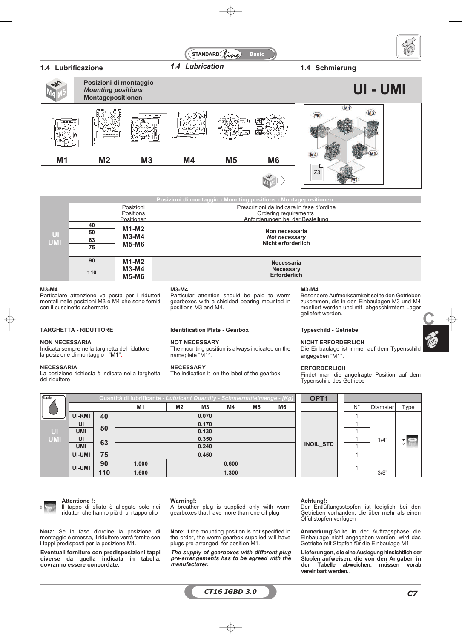

## **1.4 Lubrificazione 1.4 Schmierung** *1.4 Lubrication*



|           |     |                        | Posizioni di montaggio - Mounting positions - Montagepositionen    |
|-----------|-----|------------------------|--------------------------------------------------------------------|
|           |     | Posizioni<br>Positions | Prescrizioni da indicare in fase d'ordine<br>Ordering requirements |
|           |     | Positionen             | Anforderungen bei der Bestellung                                   |
|           | 40  | $M1-M2$                |                                                                    |
| UI        | 50  | <b>M3-M4</b>           | Non necessaria                                                     |
| <b>UM</b> | 63  |                        | Not necessary<br>Nicht erforderlich                                |
|           | 75  | <b>M5-M6</b>           |                                                                    |
|           |     |                        |                                                                    |
|           | 90  | $M1-M2$                | <b>Necessaria</b>                                                  |
|           | 110 | <b>M3-M4</b>           | <b>Necessary</b>                                                   |
|           |     | <b>M5-M6</b>           | <b>Erforderlich</b>                                                |

#### **M3-M4**

Particolare attenzione va posta per i riduttori montati nelle posizioni M3 e M4 che sono forniti con il cuscinetto schermato.

#### **TARGHETTA - RIDUTTORE**

## **NON NECESSARIA**

Indicata sempre nella targhetta del riduttore la posizione di montaggio "M1"**.**

#### **NECESSARIA**

La posizione richiesta è indicata nella targhetta del riduttore

#### **M3-M4**

Particular attention should be paid to worm gearboxes with a shielded bearing mounted in positions M3 and M4.

#### **Identification Plate - Gearbox**

#### **NOT NECESSARY**

The mounting position is always indicated on the nameplate "M1".

#### **NECESSARY**

The indication it on the label of the gearbox

#### **M3-M4**

Besondere Aufmerksamkeit sollte den Getrieben zukommen, die in den Einbaulagen M3 und M4 montiert werden und mit abgeschirmtem Lager geliefert werden.

#### **Typeschild - Getriebe**

#### **NICHT ERFORDERLICH**

Die Einbaulage ist immer auf dem Typenschild angegeben "M1".

#### **ERFORDERLICH**

Findet man die angefragte Position auf dem Typenschild des Getriebe

| $\sqrt{\text{Lub}}$ | Quantità di lubrificante - Lubricant Quantity - Schmiermittelmenge - [Kg] |     |                |                |       |       |                | OPT <sub>1</sub> |                  |  |    |                       |      |
|---------------------|---------------------------------------------------------------------------|-----|----------------|----------------|-------|-------|----------------|------------------|------------------|--|----|-----------------------|------|
|                     |                                                                           |     | M <sub>1</sub> | M <sub>2</sub> | M3    | M4    | M <sub>5</sub> | M6               |                  |  | Ν° | Diameter <sup>1</sup> | Type |
|                     | <b>UI-RMI</b>                                                             | 40  |                | 0.070          |       |       |                |                  |                  |  |    |                       |      |
|                     | UI                                                                        |     |                | 0.170          |       |       |                |                  |                  |  |    |                       |      |
| UI                  | <b>UMI</b>                                                                | 50  |                |                | 0.130 |       |                |                  |                  |  |    |                       |      |
| <b>UMI</b>          | UI                                                                        | 63  |                | 0.350          |       |       |                |                  |                  |  |    | 1/4"                  | r es |
|                     | <b>UMI</b>                                                                |     |                | 0.240          |       |       |                |                  | <b>INOIL STD</b> |  |    | $\nabla$              |      |
|                     | UI-UMI                                                                    | 75  |                | 0.450          |       |       |                |                  |                  |  |    |                       |      |
|                     |                                                                           | 90  | 1.000          |                |       |       | 0.600          |                  |                  |  |    |                       |      |
|                     | <b>UI-UMI</b>                                                             | 110 | 1.600          |                |       | 1.300 |                |                  |                  |  |    | 3/8"                  |      |



#### **Attentione !:**

ll tappo di sfiato è allegato solo nei riduttori che hanno più di un tappo olio

**Nota**: Se in fase d'ordine la posizione di montaggio è omessa, il riduttore verrà fornito con i tappi predisposti per la posizione M1.

**Eventuali forniture con predisposizioni tappi diverse da quella indicata in tabella, dovranno essere concordate.**

#### **Warning!:**

A breather plug is supplied only with worm gearboxes that have more than one oil plug

**Note**: If the mounting position is not specified in the order, the worm gearbox supplied will have plugs pre-arranged for position M1.

*The supply of gearboxes with different plug pre-arrangements has to be agreed with the manufacturer.*

#### **Achtung!:**

Der Entlüftungsstopfen ist lediglich bei den Getrieben vorhanden, die über mehr als einen Ölfüllstopfen verfügen

**Anmerkung**:Sollte in der Auftragsphase die Einbaulage nicht angegeben werden, wird das Getriebe mit Stopfen für die Einbaulage M1.

**Lieferungen, die eine Auslegung hinsichtlich der Stopfen aufweisen, die von den Angaben in** Tabelle abweichen, **vereinbart werden.**.

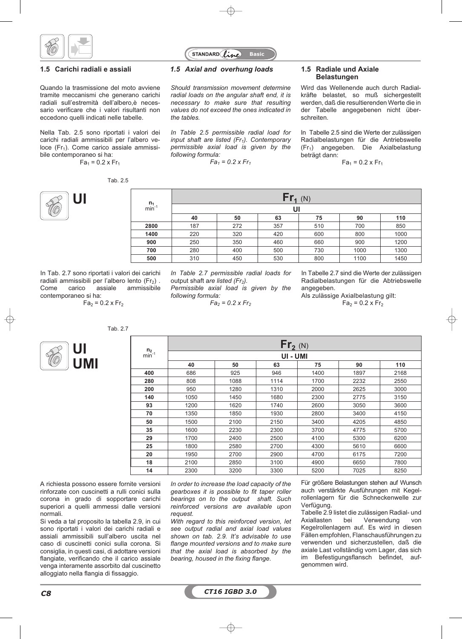

Quando la trasmissione del moto avviene tramite meccanismi che generano carichi radiali sull'estremità dell'albero,è necessario verificare che i valori risultanti non eccedono quelli indicati nelle tabelle.

Nella Tab. 2.5 sono riportati i valori dei carichi radiali ammissibili per l'albero veloce  $(Fr<sub>1</sub>)$ . Come carico assiale ammissibile contemporaneo si ha:

$$
Fa_1 = 0.2 \times Fr_1
$$

**UI**

Tab. 2.5



#### **1.5 Carichi radiali e assiali 1.5 Radiale und Axiale** *1.5 Axial and overhung loads*

*Should transmission movement determine radial loads on the angular shaft end, it is necessary to make sure that resulting values do not exceed the ones indicated in the tables.*

*In Table 2.5 permissible radial load for input shaft are listed (Fr<sub>1</sub>). Contemporary permissible axial load is given by the following formula:*

$$
Fa_1=0.2\times Fr_1
$$

# **Belastungen**

Wird das Wellenende auch durch Radialkräfte belastet, so muß sichergestellt werden, daß die resultierenden Werte die in der Tabelle angegebenen nicht überschreiten.

In Tabelle 2.5 sind die Werte der zulässigen Radialbelastungen für die Antriebswelle (Fr<sub>1</sub>) angegeben. Die Axialbelastung beträgt dann:

$$
Fa_1 = 0.2 \times Fr_1
$$

In Tab. 2.7 sono riportati i valori dei carichi radiali ammissibili per l'albero lento  $(Fr_2)$ .<br>Come carico assiale ammissibile ammissibile contemporaneo si ha:

 $Fa_2 = 0.2 \times Fr_2$ 

Tab. 2.7

| MI<br><b>Service Service</b> |
|------------------------------|

| $n_1$      | . .<br>$\cdots$ |     |     |     |      |      |  |  |  |  |  |  |  |
|------------|-----------------|-----|-----|-----|------|------|--|--|--|--|--|--|--|
| $min^{-1}$ |                 | UI  |     |     |      |      |  |  |  |  |  |  |  |
|            | 40              | 50  | 63  | 75  | 90   | 110  |  |  |  |  |  |  |  |
| 2800       | 187             | 272 | 357 | 510 | 700  | 850  |  |  |  |  |  |  |  |
| 1400       | 220             | 320 | 420 | 600 | 800  | 1000 |  |  |  |  |  |  |  |
| 900        | 250             | 350 | 460 | 660 | 900  | 1200 |  |  |  |  |  |  |  |
| 700        | 280             | 400 | 500 | 730 | 1000 | 1300 |  |  |  |  |  |  |  |
| 500        | 310             | 450 | 530 | 800 | 1100 | 1450 |  |  |  |  |  |  |  |

 $Fr.$  (N)

*In Table 2.7 permissible radial loads for* output shaft are listed (Fr<sub>2</sub>).

*Permissible axial load is given by the following formula:*

*Fa2 = 0.2 x Fr2*

In Tabelle 2.7 sind die Werte der zulässigen Radialbelastungen für die Abtriebswelle angegeben.

Als zulässige Axialbelastung gilt:  $Fa_2 = 0.2 \times Fr_2$ 

|                        | $Fr2$ (N) |      |          |      |      |      |  |  |  |  |  |  |
|------------------------|-----------|------|----------|------|------|------|--|--|--|--|--|--|
| $\frac{n_2}{min^{-1}}$ |           |      | UI - UMI |      |      |      |  |  |  |  |  |  |
|                        | 40        | 50   | 63       | 75   | 90   | 110  |  |  |  |  |  |  |
| 400                    | 686       | 925  | 946      | 1400 | 1897 | 2168 |  |  |  |  |  |  |
| 280                    | 808       | 1088 | 1114     | 1700 | 2232 | 2550 |  |  |  |  |  |  |
| 200                    | 950       | 1280 | 1310     | 2000 | 2625 | 3000 |  |  |  |  |  |  |
| 140                    | 1050      | 1450 | 1680     | 2300 | 2775 | 3150 |  |  |  |  |  |  |
| 93                     | 1200      | 1620 | 1740     | 2600 | 3050 | 3600 |  |  |  |  |  |  |
| 70                     | 1350      | 1850 | 1930     | 2800 | 3400 | 4150 |  |  |  |  |  |  |
| 50                     | 1500      | 2100 | 2150     | 3400 | 4205 | 4850 |  |  |  |  |  |  |
| 35                     | 1600      | 2230 | 2300     | 3700 | 4775 | 5700 |  |  |  |  |  |  |
| 29                     | 1700      | 2400 | 2500     | 4100 | 5300 | 6200 |  |  |  |  |  |  |
| 25                     | 1800      | 2580 | 2700     | 4300 | 5610 | 6600 |  |  |  |  |  |  |
| 20                     | 1950      | 2700 | 2900     | 4700 | 6175 | 7200 |  |  |  |  |  |  |
| 18                     | 2100      | 2850 | 3100     | 4900 | 6650 | 7800 |  |  |  |  |  |  |
| 14                     | 2300      | 3200 | 3300     | 5200 | 7025 | 8250 |  |  |  |  |  |  |

A richiesta possono essere fornite versioni rinforzate con cuscinetti a rulli conici sulla corona in grado di sopportare carichi superiori a quelli ammessi dalle versioni normali.

Si veda a tal proposito la tabella 2.9, in cui sono riportati i valori dei carichi radiali e assiali ammissibili sull'albero uscita nel caso di cuscinetti conici sulla corona. Si consiglia, in questi casi, di adottare versioni flangiate, verificando che il carico assiale venga interamente assorbito dal cuscinetto alloggiato nella flangia di fissaggio.

*In order to increase the load capacity of the gearboxes it is possible to fit taper roller bearings on to the output shaft. Such reinforced versions are available upon request.*

*With regard to this reinforced version, let see output radial and axial load values shown on tab. 2.9. It's advisable to use flange mounted versions and to make sure that the axial load is absorbed by the bearing, housed in the fixing flange.*

Für größere Belastungen stehen auf Wunsch auch verstärkte Ausführungen mit Kegelrollenlagern für die Schneckenwelle zur Verfügung.

Tabelle 2.9 listet die zulässigen Radial- und Axiallasten bei Verwendung von Kegelrollenlagern auf. Es wird in diesen Fällen empfohlen, Flanschausführungen zu verwenden und sicherzustellen, daß die axiale Last vollständig vom Lager, das sich im Befestigungsflansch befindet, aufgenommen wird.

*C8 CT16 IGBD 3.0*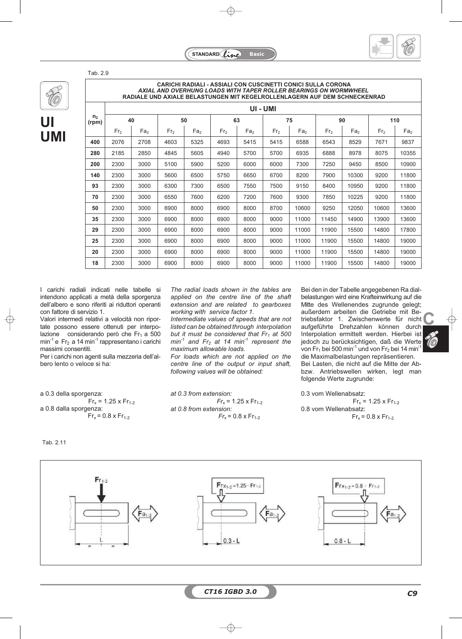

Tab. 2.9

# **UI**

**UMI**

**CARICHI RADIALI - ASSIALI CON CUSCINETTI CONICI SULLA CORONA** *AXIAL AND OVERHUNG LOADS WITH TAPER ROLLER BEARINGS ON WORMWHEEL* **RADIALE UND AXIALE BELASTUNGEN MIT KEGELROLLENLAGERN AUF DEM SCHNECKENRAD n**<sub>2</sub> **(rpm) UI - UMI 40 50 63 75 90 110** Fr $_2$  | Fa $_2$  | Fr $_2$  | Fa $_2$  | Fr $_2$  | Fr $_2$  | Fa $_2$  | Fr $_2$  | F $_2$  | F $_2$  | F $_2$  | F $_2$  | F $_2$  | F $_2$  | F $_2$ **400** | 2076 | 2708 | 4603 | 5325 | 4693 | 5415 | 5415 | 6588 | 6543 | 8529 | 7671 | 9837 **280** | 2185 | 2850 | 4845 | 5605 | 4940 | 5700 | 5700 | 6935 | 6888 | 8978 | 8075 | 10355 **200** | 2300 | 3000 | 5100 | 5900 | 5200 | 6000 | 6000 | 7300 | 7250 | 9450 | 8500 | 10900 **140** | 2300 | 3000 | 5600 | 6500 | 5750 | 6650 | 6700 | 8200 | 7900 | 10300 | 9200 | 11800 **93** | 2300 | 3000 | 6300 | 7300 | 6500 | 7550 | 7500 | 9150 | 8400 | 10950 | 9200 | 11800 **70** 2300 3000 6550 7600 6200 7200 7600 9300 7850 10225 9200 11800 **50** | 2300 | 3000 | 6900 | 8000 | 6900 | 8000 | 8700 | 10600 | 9250 | 12050 | 10600 | 13600

 | 2300 | 3000 | 6900 | 8000 | 6900 | 8000 | 9000 | 11000 | 11450 | 14900 | 13900 | 13600 | 2300 | 3000 | 6900 | 8000 | 6900 | 8000 | 9000 | 11000 | 11900 | 15500 | 14800 | 17800 | 2300 | 3000 | 6900 | 8000 | 6900 | 8000 | 9000 | 11000 | 11900 | 15500 | 14800 | 19000 | 2300 | 3000 | 6900 | 8000 | 6900 | 8000 | 9000 | 11000 | 11900 | 15500 | 14800 | 19000 | 2300 | 3000 | 6900 | 8000 | 6900 | 8000 | 9000 | 11000 | 11900 | 15500 | 14800 | 19000

I carichi radiali indicati nelle tabelle si intendono applicati a metà della sporgenza dell'albero e sono riferiti ai riduttori operanti con fattore di servizio 1.

Valori intermedi relativi a velocità non riportate possono essere ottenuti per interpolazione considerando però che Fr $_1$  a 500 min $^{-1}$  e Fr<sub>2</sub> a 14 min<sup>-1</sup> rappresentano i carichi massimi consentiti.

Per i carichi non agenti sulla mezzeria dell'albero lento o veloce si ha:

a 0.3 della sporgenza:  $Fr_x = 1.25 \times Fr_{1-2}$ a 0.8 dalla sporgenza:  $Fr_x = 0.8 \times Fr_{1-2}$ 

Tab. 2.11

*The radial loads shown in the tables are applied on the centre line of the shaft extension and are related to gearboxes working with service factor 1.*

*Intermediate values of speeds that are not listed can be obtained through interpolation but it must be considered that Fr<sub>1</sub> at 500 min-1 and Fr2 at 14 min-1 represent the maximum allowable loads.*

*For loads which are not applied on the centre line of the output or input shaft, following values will be obtained:*

*at 0.3 from extension:*  $Fr_x = 1.25 \times Fr_{1-2}$ *at 0.8 from extension:*  $Fr_x = 0.8 \times Fr_{1-2}$ 

**C** Bei den in der Tabelle angegebenen Ra dialbelastungen wird eine Krafteinwirkung auf die Mitte des Wellenendes zugrunde gelegt; außerdem arbeiten die Getriebe mit Betriebsfaktor 1. Zwischenwerte für nicht aufgeführte Drehzahlen können durch Interpolation ermittelt werden. Hierbei ist jedoch zu berücksichtigen, daß die Werte von Fr<sub>1</sub> bei 500 min<sup>-1</sup> und von Fr<sub>2</sub> bei 14 min<sup>-1</sup> die Maximalbelastungen repräsentieren. Bei Lasten, die nicht auf die Mitte der Abbzw. Antriebswellen wirken, legt man folgende Werte zugrunde:

0.3 vom Wellenabsatz:  $Fr_x = 1.25 \times Fr_{1-2}$ 0.8 vom Wellenabsatz:  $Fr_x = 0.8 \times Fr_{1-2}$ 



((O)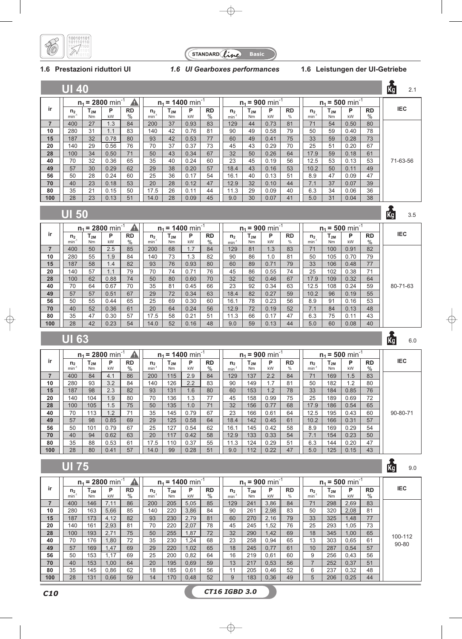



## **1.6 Prestazioni riduttori UI** *1.6 UI Gearboxes performances* **1.6 Leistungen der UI-Getriebe**

90-80

| <b>UI 40</b>             |                              |                |                                |                   |                           |                |                                |                   |                              | kg             | 2.1                           |                            |                              |                |                               |                   |            |     |
|--------------------------|------------------------------|----------------|--------------------------------|-------------------|---------------------------|----------------|--------------------------------|-------------------|------------------------------|----------------|-------------------------------|----------------------------|------------------------------|----------------|-------------------------------|-------------------|------------|-----|
|                          |                              |                | $n_1$ = 2800 min <sup>-1</sup> | Δ                 |                           |                | $n_1$ = 1400 min <sup>-1</sup> |                   |                              |                | $n_1 = 900$ min <sup>-1</sup> |                            |                              |                | $n_1 = 500$ min <sup>-1</sup> |                   |            |     |
| ir                       | n <sub>2</sub><br>$min^{-1}$ | $T_{2M}$<br>Nm | P<br>kW                        | <b>RD</b><br>$\%$ | n <sub>2</sub><br>$min-1$ | $T_{2M}$<br>Nm | P<br>kW                        | <b>RD</b><br>%    | n <sub>2</sub>               | $T_{2M}$<br>Nm | P<br>kW                       | <b>RD</b><br>$\frac{0}{0}$ | n <sub>2</sub><br>$min^{-1}$ | $T_{2M}$<br>Nm | P<br>kW                       | <b>RD</b><br>%    | <b>IEC</b> |     |
| $\overline{7}$           | 400                          | 27             | 1.3                            | 84                | 200                       | 37             | 0.93                           | 83                | $min^{-1}$<br>129            | 44             | 0.73                          | 81                         | 71                           | 54             | 0.50                          | 80                |            |     |
| 10                       | 280                          | 31             | 1.1                            | 83                | 140                       | 42             | 0.76                           | 81                | 90                           | 49             | 0.58                          | 79                         | 50                           | 59             | 0.40                          | 78                |            |     |
| 15                       | 187                          | 32             | 0.78                           | 80                | 93                        | 42             | 0.53                           | 77                | 60                           | 49             | 0.41                          | 75                         | 33                           | 59             | 0.28                          | 73                |            |     |
| 20<br>28                 | 140<br>100                   | 29<br>34       | 0.56<br>0.50                   | 76<br>71          | 70<br>50                  | 37             | 0.37                           | 73<br>67          | 45<br>32                     | 43<br>50       | 0.29                          | 70                         | 25<br>17.9                   | 51<br>59       | 0.20                          | 67                |            |     |
| 40                       | 70                           | 32             | 0.36                           | 65                | 35                        | 43<br>40       | 0.34<br>0.24                   | 60                | 23                           | 45             | 0.26<br>0.19                  | 64<br>56                   | 12.5                         | 53             | 0.18<br>0.13                  | 61<br>53          | 71-63-56   |     |
| 49                       | 57                           | 30             | 0.29                           | 62                | 29                        | 38             | 0.20                           | 57                | 18.4                         | 43             | 0.16                          | 53                         | 10.2                         | 50             | 0.11                          | 49                |            |     |
| 56                       | 50                           | 28             | 0.24                           | 60                | 25                        | 36             | 0.17                           | 54                | 16.1                         | 40             | 0.13                          | 51                         | 8.9                          | 47             | 0.09                          | 47                |            |     |
| 70                       | 40                           | 23             | 0.18                           | 53                | 20                        | 28             | 0.12                           | 47                | 12.9                         | 32             | 0.10                          | 44                         | 7.1                          | 37             | 0.07                          | 39                |            |     |
| 80<br>100                | 35<br>28                     | 21<br>23       | 0.15<br>0.13                   | 50<br>51          | 17.5<br>14.0              | 26<br>28       | 0.11<br>0.09                   | 44<br>45          | 11.3<br>9.0                  | 29<br>30       | 0.09<br>0.07                  | 40<br>41                   | 6.3<br>5.0                   | 34<br>31       | 0.06<br>0.04                  | 36<br>38          |            |     |
|                          |                              |                |                                |                   |                           |                |                                |                   |                              |                |                               |                            |                              |                |                               |                   |            |     |
| 哅<br><b>UI 50</b><br>3.5 |                              |                |                                |                   |                           |                |                                |                   |                              |                |                               |                            |                              |                |                               |                   |            |     |
|                          |                              |                | $n_1$ = 2800 min <sup>-1</sup> | Δ                 |                           |                | $n_1$ = 1400 min <sup>-1</sup> |                   |                              |                | $n_1$ = 900 min <sup>-1</sup> |                            |                              |                | $n_1$ = 500 min <sup>-1</sup> |                   |            |     |
| ir                       | n <sub>2</sub>               | $T_{2M}$       | P                              | <b>RD</b>         | n <sub>2</sub>            | $T_{2M}$       | P                              | <b>RD</b>         | n <sub>2</sub>               | $T_{2M}$       | P                             | <b>RD</b>                  | n <sub>2</sub>               | $T_{2M}$       | P                             | <b>RD</b>         | <b>IEC</b> |     |
| $\overline{7}$           | $min^{-1}$<br>400            | Nm<br>50       | kW<br>2.5                      | %<br>85           | $min^{-1}$<br>200         | Nm<br>68       | kW<br>1.7                      | %<br>84           | $min^{-1}$<br>129            | Nm<br>81       | kW<br>1.3                     | $\%$<br>83                 | $min^{-1}$<br>71             | Nm<br>100      | kW<br>0.91                    | %<br>82           |            |     |
| 10                       | 280                          | 55             | 1.9                            | 84                | 140                       | 73             | 1.3                            | 82                | 90                           | 86             | 1.0                           | 81                         | 50                           | 105            | 0.70                          | 79                |            |     |
| 15                       | 187                          | 58             | 1.4                            | 82                | 93                        | 76             | 0.93                           | 80                | 60                           | 89             | 0.71                          | 79                         | 33                           | 106            | 0.48                          | 77                |            |     |
| 20                       | 140                          | 57             | 1.1                            | 79                | 70                        | 74             | 0.71                           | 76                | 45                           | 86             | 0.55                          | 74                         | 25                           | 102            | 0.38                          | 71                |            |     |
| 28<br>40                 | 100<br>70                    | 62<br>64       | 0.88<br>0.67                   | 74<br>70          | 50<br>35                  | 80<br>81       | 0.60<br>0.45                   | 70<br>66          | 32<br>23                     | 92<br>92       | 0.46<br>0.34                  | 67<br>63                   | 17.9<br>12.5                 | 109<br>108     | 0.32<br>0.24                  | 64<br>59          | 80-71-63   |     |
| 49                       | 57                           | 57             | 0.51                           | 67                | 29                        | 72             | 0.34                           | 63                | 18.4                         | 82             | 0.27                          | 59                         | 10.2                         | 96             | 0.19                          | 55                |            |     |
| 56                       | 50                           | 55             | 0.44                           | 65                | 25                        | 69             | 0.30                           | 60                | 16.1                         | 78             | 0.23                          | 56                         | 8.9                          | 91             | 0.16                          | 53                |            |     |
| 70                       | 40                           | 52             | 0.36                           | 61                | 20                        | 64             | 0.24                           | 56                | 12.9                         | 72             | 0.19                          | 52                         | 7.1                          | 84             | 0.13                          | 48                |            |     |
| 80<br>100                | 35<br>28                     | 47<br>42       | 0.30<br>0.23                   | 57<br>54          | 17.5<br>14.0              | 58<br>52       | 0.21                           | 51<br>48          | 11.3                         | 66<br>59       | 0.17                          | 47<br>44                   | 6.3<br>5.0                   | 75<br>60       | 0.11                          | 43<br>40          |            |     |
|                          |                              |                |                                |                   |                           |                | 0.16                           |                   | 9.0                          |                | 0.13                          |                            |                              |                | 0.08                          |                   |            |     |
|                          | <b>UI 63</b>                 |                |                                |                   |                           |                |                                |                   |                              |                |                               |                            |                              |                |                               |                   | 凾          | 6.0 |
|                          |                              |                | $n_1$ = 2800 min <sup>-1</sup> | ▲                 |                           |                | $n_1$ = 1400 min <sup>-1</sup> |                   |                              |                | $n_1 = 900$ min <sup>-1</sup> |                            |                              |                | $n_1$ = 500 min <sup>-1</sup> |                   |            |     |
| ir                       | n <sub>2</sub><br>$min^{-1}$ | $T_{2M}$<br>Nm | P<br>kW                        | <b>RD</b><br>$\%$ | n <sub>2</sub><br>$min-1$ | $T_{2M}$<br>Nm | P<br>kW                        | <b>RD</b><br>$\%$ | n <sub>2</sub><br>$min^{-1}$ | $T_{2M}$<br>Nm | P<br>kW                       | <b>RD</b><br>$\frac{0}{0}$ | n <sub>2</sub><br>$min^{-1}$ | $T_{2M}$<br>Nm | P<br>kW                       | <b>RD</b><br>$\%$ | <b>IEC</b> |     |
| $\overline{7}$           | 400                          | 84             | 4.1                            | 86                | 200                       | 115            | 2.9                            | 84                | 129                          | 137            | 2.2                           | 84                         | 71                           | 169            | 1.5                           | 83                |            |     |
| 10                       | 280                          | 93             | 3.2                            | 84                | 140                       | 126            | 2.2                            | 83                | 90                           | 149            | 1.7                           | 81                         | 50                           | 182            | 1.2                           | 80                |            |     |
| 15                       | 187<br>140                   | 98<br>104      | 2.3                            | 82<br>80          | 93                        | 131            | 1.6                            | 80<br>$77 \,$     | 60<br>45                     | 153<br>158     | 1.2                           | 78<br>75                   | 33<br>25                     | 184<br>189     | 0.85                          | 76<br>72          |            |     |
| ${\bf 20}$<br>28         | 100                          | 105            | $1.9\,$<br>1.5                 | 75                | 70<br>50                  | 136<br>135     | $1.3$<br>1.0                   | 71                | 32                           | 156            | 0.99<br>0.77                  | 68                         | 17.9                         | 186            | 0.69<br>0.54                  | 65                |            |     |
| 40                       | 70                           | 113            | 1.2                            | 71                | 35                        | 145            | 0.79                           | 67                | 23                           | 166            | 0.61                          | 64                         | 12.5                         | 195            | 0.43                          | 60                | 90-80-71   |     |
| 49                       | 57                           | 98             | 0.85                           | 69                | 29                        | 125            | 0.58                           | 64                | 18.4                         | 142            | 0.45                          | 61                         | 10.2                         | 166            | 0.31                          | 57                |            |     |
| 56                       | 50                           | 101<br>94      | 0.79                           | 67                | 25                        | 127            | 0.54                           | 62                | 16.1                         | 145            | 0.42                          | 58                         | 8.9                          | 169            | 0.29                          | 54                |            |     |
| ${\bf 70}$<br>80         | 40<br>35                     | 88             | 0.62<br>0.53                   | 63<br>61          | 20<br>17.5                | 117<br>110     | 0.42<br>0.37                   | 58<br>55          | 12.9<br>11.3                 | 133<br>124     | 0.33<br>0.29                  | 54<br>51                   | 7.1<br>6.3                   | 154<br>144     | 0.23<br>0.20                  | 50<br>47          |            |     |
| 100                      | 28                           | 80             | 0.41                           | 57                | 14.0                      | 99             | 0.28                           | 51                | 9.0                          | 112            | 0.22                          | 47                         | 5.0                          | 125            | 0.15                          | 43                |            |     |
| 哅<br><b>UI 75</b>        |                              |                |                                |                   |                           |                |                                |                   |                              | 9.0            |                               |                            |                              |                |                               |                   |            |     |
|                          |                              |                | $n_1$ = 2800 min <sup>-1</sup> | Δ                 |                           |                | $n_1$ = 1400 min <sup>-1</sup> |                   |                              |                | $n_1 = 900$ min <sup>-1</sup> |                            |                              |                | $n_1 = 500$ min <sup>-1</sup> |                   |            |     |
| ir                       | n <sub>2</sub><br>$min^{-1}$ | $T_{2M}$<br>Nm | P<br>kW                        | <b>RD</b><br>$\%$ | n <sub>2</sub><br>$min-1$ | $T_{2M}$<br>Nm | P<br>kW                        | <b>RD</b><br>%    | n <sub>2</sub><br>$min^{-1}$ | $T_{2M}$<br>Nm | P<br>kW                       | <b>RD</b><br>$\%$          | n <sub>2</sub><br>$min-1$    | $T_{2M}$<br>Nm | Ρ<br>kW                       | <b>RD</b><br>$\%$ | <b>IEC</b> |     |
| $\bf 7$                  | 400                          | 146            | 7,11                           | 86                | 200                       | 205            | 5,05                           | 85                | 129                          | 241            | 3,86                          | 84                         | 71                           | 298            | 2,69                          | 83                |            |     |
| 10                       | 280                          | 163            | 5,66                           | 85                | 140                       | 220            | 3,86                           | 84                | 90                           | 261            | 2,98                          | 83                         | 50                           | 320            | 2,08                          | 81                |            |     |
| 15<br>20                 | 187<br>140                   | 173<br>161     | 4,12<br>2,93                   | 82<br>81          | 93<br>70                  | 230<br>220     | 2,79<br>2,07                   | 81<br>78          | 60<br>45                     | 270<br>245     | 2,16<br>1,52                  | 79<br>76                   | 33<br>25                     | 325<br>293     | 1,48<br>1,05                  | $77$<br>73        |            |     |
| 28                       | 100                          | 193            | 2,71                           | $75\,$            | 50                        | 255            | 1,87                           | 72                | 32                           | 290            | 1,42                          | 69                         | 18                           | 345            | 1,00                          | 65                |            |     |
|                          | 70                           | 470            | 4.00                           |                   | $\Omega$                  | 0.20           | 4.04                           |                   | $\cap$                       | 0.50           | 0.01                          |                            | $\overline{1}$               | 200            | 0.05                          | $\sim$            | 100-112    |     |

*C10 CT16 IGBD 3.0*

 || 70 | 176 || 1,80 || 72 || 35 || 230 || 1,24 || 68 || 23 || 258 || 0,94 || 65 || 13 || 303 || 0,65 || 61  $\begin{bmatrix} 57 \end{bmatrix}$  169  $\begin{bmatrix} 1,47 \end{bmatrix}$  69  $\begin{bmatrix} 29 \end{bmatrix}$  220  $\begin{bmatrix} 1,02 \end{bmatrix}$  65  $\begin{bmatrix} 18 \end{bmatrix}$  245  $\begin{bmatrix} 0,77 \end{bmatrix}$  61  $\begin{bmatrix} 1 & 10 \end{bmatrix}$  287  $\begin{bmatrix} 0,54 \end{bmatrix}$  57 || 50 || 153 || 1,17 || 69 || 25 || 200 || 0,82 || 64 || 16 || 219 || 0,61 || 60 || || 9 || 256 || 0,43 || 56 | 40 | 153 | 1,00 | 64 || 20 | 195 | 0,69 | 59 || 13 | 217 | 0,53 | 56 || 7 | 252 | 0,37 | 51 || 35 | 145 | 0,86 | 62 || 18 | 185 | 0,61 | 56 || 11 | 205 | 0,46 | 52 || 6 | 237 | 0,32 | 48 || 28 | 131 | 0,66 | 59 || 14 | 170 | 0,48 | 52 || 9 | 183 | 0,36 | 49 || 5 | 206 | 0,25 | 44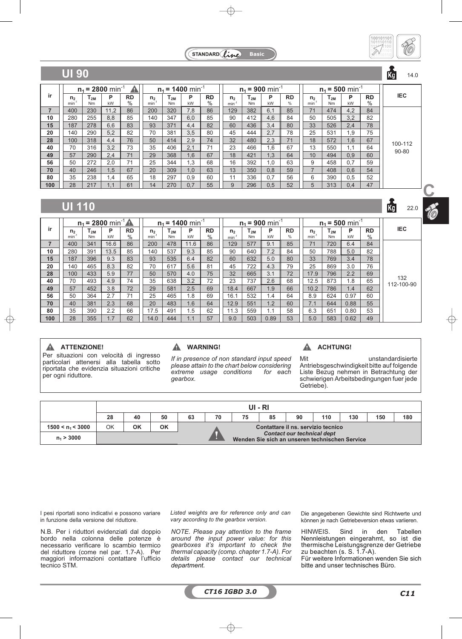(STANDARD (Line) **Basic**



|                | UI 90                        |                                  |                                |                   |                              |                          |                                |                |                              |                                  |         |                   |                               |                |         |                | [Kg<br>14.0 |
|----------------|------------------------------|----------------------------------|--------------------------------|-------------------|------------------------------|--------------------------|--------------------------------|----------------|------------------------------|----------------------------------|---------|-------------------|-------------------------------|----------------|---------|----------------|-------------|
|                |                              |                                  | $n_1$ = 2800 min <sup>-1</sup> |                   |                              |                          | $n_1$ = 1400 min <sup>-1</sup> |                |                              | $n_1$ = 900 min <sup>-1</sup>    |         |                   | $n_1$ = 500 min <sup>-1</sup> |                |         |                |             |
| ir             | n <sub>2</sub><br>$min^{-1}$ | $\mathsf{T}_{\mathsf{2M}}$<br>Nm | P<br>kW                        | <b>RD</b><br>$\%$ | n <sub>2</sub><br>$min^{-1}$ | ${\sf T}_{\sf 2M}$<br>Nm | P<br>kW                        | <b>RD</b><br>% | n <sub>2</sub><br>$min^{-1}$ | $\mathsf{T}_{\mathsf{2M}}$<br>Nm | P<br>kW | <b>RD</b><br>$\%$ | n <sub>2</sub><br>$min^{-1}$  | $T_{2M}$<br>Nm | P<br>kW | <b>RD</b><br>% | <b>IEC</b>  |
| $\overline{7}$ | 400                          | 230                              | 11,2                           | 86                | 200                          | 320                      | 7,8                            | 86             | 129                          | 382                              | 6.1     | 85                | 71                            | 474            | 4,2     | 84             |             |
| 10             | 280                          | 255                              | 8,8                            | 85                | 140                          | 347                      | 6,0                            | 85             | 90                           | 412                              | 4,6     | 84                | 50                            | 505            | 3,2     | 82             |             |
| 15             | 187                          | 278                              | 6.6                            | 83                | 93                           | 371                      | 4,4                            | 82             | 60                           | 436                              | 3,4     | 80                | 33                            | 526            | 2,4     | 78             |             |
| 20             | 140                          | 290                              | 5,2                            | 82                | 70                           | 381                      | 3,5                            | 80             | 45                           | 444                              | 2,7     | 78                | 25                            | 531            | 1.9     | 75             |             |
| 28             | 100                          | 318                              | 4,4                            | 76                | 50                           | 414                      | 2,9                            | 74             | 32                           | 480                              | 2,3     | 71                | 18                            | 572            | 1,6     | 67             | 100-112     |
| 40             | 70                           | 316                              | 3,2                            | 73                | 35                           | 406                      | 2,1                            | 71             | 23                           | 466                              | 1,6     | 67                | 13                            | 550            | 1,1     | 64             | $90 - 80$   |
| 49             | 57                           | 290                              | 2,4                            | 71                | 29                           | 368                      | 1,6                            | 67             | 18                           | 421                              | 1,3     | 64                | 10                            | 494            | 0,9     | 60             |             |
| 56             | 50                           | 272                              | 2,0                            | 71                | 25                           | 344                      | 1,3                            | 68             | 16                           | 392                              | 1,0     | 63                | 9                             | 458            | 0.7     | 59             |             |
| 70             | 40                           | 246                              | 1.5                            | 67                | 20                           | 309                      | 1,0                            | 63             | 13                           | 350                              | 0,8     | 59                | $\overline{7}$                | 408            | 0,6     | 54             |             |
| 80             | 35                           | 238                              | 1,4                            | 65                | 18                           | 297                      | 0,9                            | 60             | 11                           | 336                              | 0.7     | 56                | 6                             | 390            | 0,5     | 52             |             |
| 100            | 28                           | 217                              | 1.1                            | 61                | 14                           | 270                      | 0.7                            | 55             | 9                            | 296                              | 0.5     | 52                | 5                             | 313            | 0.4     | 47             |             |

# **UI 110** 22.0

|     | <b>UI 110</b>                |                                 |                                |                   |                              |                |                                |                |                               |                            |         |                            |                               |                                          |         |                | Kg<br>22.0        | 20 |
|-----|------------------------------|---------------------------------|--------------------------------|-------------------|------------------------------|----------------|--------------------------------|----------------|-------------------------------|----------------------------|---------|----------------------------|-------------------------------|------------------------------------------|---------|----------------|-------------------|----|
|     |                              |                                 | $n_1 = 2800$ min <sup>-1</sup> |                   |                              |                | $n_1$ = 1400 min <sup>-1</sup> |                | $n_1$ = 900 min <sup>-1</sup> |                            |         |                            | $n_1$ = 500 min <sup>-1</sup> |                                          |         |                |                   |    |
| ir  | n <sub>2</sub><br>$min^{-1}$ | ${\sf T}_{\sf 2M}$<br><b>Nm</b> | P<br>kW                        | <b>RD</b><br>$\%$ | n <sub>2</sub><br>$min^{-1}$ | $T_{2M}$<br>Nm | P<br>kW                        | <b>RD</b><br>% | n <sub>2</sub><br>$min^{-1}$  | $T_{2M}$<br>N <sub>m</sub> | P<br>kW | <b>RD</b><br>$\frac{0}{0}$ | n <sub>2</sub><br>$min^{-1}$  | ${\mathsf T}_{\mathsf{2M}}$<br><b>Nm</b> | P<br>kW | <b>RD</b><br>% | <b>IEC</b>        |    |
|     | 400                          | 341                             | 16.6                           | 86                | 200                          | 478            | 11.6                           | 86             | 129                           | 577                        | 9.1     | 85                         | 71                            | 720                                      | 6.4     | 84             |                   |    |
| 10  | 280                          | 391                             | 13.5                           | 85                | 140                          | 537            | 9.3                            | 85             | 90                            | 640                        | 7.2     | 84                         | 50                            | 788                                      | 5.0     | 82             |                   |    |
| 15  | 187                          | 396                             | 9.3                            | 83                | 93                           | 535            | 6.4                            | 82             | 60                            | 632                        | 5.0     | 80                         | 33                            | 769                                      | 3.4     | 78             |                   |    |
| 20  | 140                          | 465                             | 8.3                            | 82                | 70                           | 617            | 5.6                            | 81             | 45                            | 722                        | 4.3     | 79                         | 25                            | 869                                      | 3.0     | 76             |                   |    |
| 28  | 100                          | 433                             | 5.9                            | 77                | 50                           | 570            | 4.0                            | 75             | 32                            | 665                        | 3.1     | 72                         | 17.9                          | 796                                      | 2.2     | 69             |                   |    |
| 40  | 70                           | 493                             | 4.9                            | 74                | 35                           | 638            | 3.2                            | 72             | 23                            | 737                        | 2.6     | 68                         | 12.5                          | 873                                      | 1.8     | 65             | 132<br>112-100-90 |    |
| 49  | 57                           | 452                             | 3.8                            | 72                | 29                           | 581            | 2.5                            | 69             | 18.4                          | 667                        | 1.9     | 66                         | 10.2                          | 786                                      | 1.4     | 62             |                   |    |
| 56  | 50                           | 364                             | 2.7                            | 71                | 25                           | 465            | 1.8                            | 69             | 16.1                          | 532                        | 1.4     | 64                         | 8.9                           | 624                                      | 0.97    | 60             |                   |    |
| 70  | 40                           | 381                             | 2.3                            | 68                | 20                           | 483            | 1.6                            | 64             | 12.9                          | 551                        | 1.2     | 60                         | 7.1                           | 644                                      | 0.88    | 55             |                   |    |
| 80  | 35                           | 390                             | 2.2                            | 66                | 17.5                         | 491            | 1.5                            | 62             | 11.3                          | 559                        | 1.1     | 58                         | 6.3                           | 651                                      | 0.80    | 53             |                   |    |
| 100 | 28                           | 355                             | 1.7                            | 62                | 14.0                         | 444            | 1.1                            | 57             | 9.0                           | 503                        | 0.89    | 53                         | 5.0                           | 583                                      | 0.62    | 49             |                   |    |

## **A** ATTENZIONE! **A** WARNING! **A** ACHTUNG!

Per situazioni con velocità di ingresso particolari attenersi alla tabella sotto riportata che evidenzia situazioni critiche per ogni riduttore.

*If in presence of non standard input speed please attain to the chart below considering*  $extreme$  usage conditions *gearbox.*

Mit unstandardisierte Antriebsgeschwindigkeit bitte auf folgende Liste Bezug nehmen in Betrachtung der schwierigen Arbeitsbedingungen fuer jede Getriebe).

|                                                                   |    | UI - RI |    |                                                                                     |  |                                    |  |  |  |     |  |  |  |  |
|-------------------------------------------------------------------|----|---------|----|-------------------------------------------------------------------------------------|--|------------------------------------|--|--|--|-----|--|--|--|--|
| 28<br>70<br>90<br>110<br>130<br>63<br>150<br>40<br>50<br>75<br>85 |    |         |    |                                                                                     |  |                                    |  |  |  | 180 |  |  |  |  |
| $1500 < n_1 < 3000$                                               | ΟK | ОΚ      | ΟK |                                                                                     |  | Contattare il ns. servizio tecnico |  |  |  |     |  |  |  |  |
| $n_1 > 3000$                                                      |    |         |    | <b>Contact our technical dept</b><br>Wenden Sie sich an unseren technischen Service |  |                                    |  |  |  |     |  |  |  |  |

I pesi riportati sono indicativi e possono variare in funzione della versione del riduttore.

N.B. Per i riduttori evidenziati dal doppio bordo nella colonna delle potenze è necessario verificare lo scambio termico del riduttore (come nel par. 1.7-A). Per maggiori informazioni contattare l'ufficio tecnico STM.

*Listed weights are for reference only and can vary according to the gearbox version.*

*NOTE. Please pay attention to the frame around the input power value: for this gearboxes it's important to check the thermal capacity (comp. chapter 1.7-A). For details please contact our technical department.*

Die angegebenen Gewichte sind Richtwerte und können je nach Getriebeversion etwas variieren.

HINWEIS. Sind in den Tabellen Nennleistungen eingerahmt, so ist die thermische Leistungsgrenze der Getriebe zu beachten (s. S. 1.7-A).

Für weitere Informationen wenden Sie sich bitte and unser technisches Büro.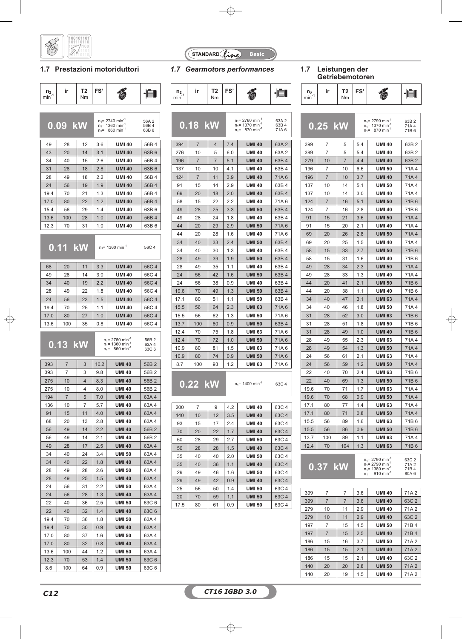



| 1.7 Prestazioni motoriduttori |             |                      |     |                                                                                                   |                       |  |  |  |  |  |
|-------------------------------|-------------|----------------------|-----|---------------------------------------------------------------------------------------------------|-----------------------|--|--|--|--|--|
| $n_{2,1}$<br>min <sup>-</sup> | ir          | T <sub>2</sub><br>Nm | FS' |                                                                                                   |                       |  |  |  |  |  |
|                               | $0.09$ $kW$ |                      |     | $n_1$ = 2740 min <sup>-1</sup><br>$n_1$ = 1360 min <sup>-1</sup><br>$n_1$ = 860 min <sup>-1</sup> | 56A2<br>56B 4<br>63B6 |  |  |  |  |  |
| 49                            | 28          | 12                   | 3.6 | <b>UMI 40</b>                                                                                     | 56B 4                 |  |  |  |  |  |
| 43                            | 20          | 14                   | 3.1 | <b>UMI 40</b>                                                                                     | 63B6                  |  |  |  |  |  |
| 34                            | 40          | 15                   | 2.6 | <b>UMI 40</b>                                                                                     | 56B 4                 |  |  |  |  |  |
| 31                            | 28          | 18                   | 2.8 | <b>UMI 40</b>                                                                                     | 63B6                  |  |  |  |  |  |
| 28                            | 49          | 18                   | 2.2 | <b>UMI 40</b>                                                                                     | 56B 4                 |  |  |  |  |  |
| 24                            | 56          | 19                   | 1.9 | <b>UMI 40</b>                                                                                     | 56B 4                 |  |  |  |  |  |
| 19.4                          | 70          | 21                   | 1.3 | <b>UMI 40</b>                                                                                     | 56B 4                 |  |  |  |  |  |
| 17.0                          | 80          | 22                   | 1.2 | <b>UMI 40</b>                                                                                     | 56B 4                 |  |  |  |  |  |
| 15.4                          | 56          | 29                   | 1.4 | <b>UMI 40</b>                                                                                     | 63B6                  |  |  |  |  |  |
| 13.6                          | 100         | 28                   | 1.0 | <b>UMI 40</b>                                                                                     | 56B 4                 |  |  |  |  |  |
| 12.3                          | 70          | 31                   | 1.0 | <b>UMI 40</b>                                                                                     | 63B6                  |  |  |  |  |  |
|                               | 0.11 kW     |                      |     | $n_1$ = 1360 min <sup>-1</sup>                                                                    | 56C 4                 |  |  |  |  |  |
| 68                            | 20          | 11                   | 3.3 | <b>UMI 40</b>                                                                                     | 56C 4                 |  |  |  |  |  |
| 49                            | 28          | 14                   | 3.0 | <b>UMI 40</b>                                                                                     | 56C 4                 |  |  |  |  |  |
| 34                            | 40          | 19                   | 2.2 | <b>UMI 40</b>                                                                                     | 56C 4                 |  |  |  |  |  |
| 28                            | 49          | 22                   | 1.8 | <b>UMI 40</b>                                                                                     | 56C 4                 |  |  |  |  |  |
| 24                            | 56          | 23                   | 1.5 | <b>UMI 40</b>                                                                                     | 56C 4                 |  |  |  |  |  |
| 19.4                          | 70          | 25                   | 1.1 | <b>UMI 40</b>                                                                                     | 56C 4                 |  |  |  |  |  |
| 17.0                          | 80          | 27                   | 1.0 | <b>UMI 40</b>                                                                                     | 56C 4                 |  |  |  |  |  |
| 13.6                          | 100         | 35                   | 0.8 | <b>UMI 40</b>                                                                                     | 56C 4                 |  |  |  |  |  |

| $n_1 = 2750$ min <sup>-1</sup><br>$n_1 = 1360$ min <sup>-1</sup><br><b>kW</b><br>0.13<br>$n_1 = 860$ min <sup>-1</sup> |  |
|------------------------------------------------------------------------------------------------------------------------|--|
|------------------------------------------------------------------------------------------------------------------------|--|

56B 2 63A 4 63C 6

| 393  | $\overline{7}$ | 3              | 10.2 | <b>UMI 40</b> | 56B <sub>2</sub> |
|------|----------------|----------------|------|---------------|------------------|
| 393  | 7              | 3              | 9.8  | <b>UMI 40</b> | 56B <sub>2</sub> |
| 275  | 10             | $\overline{4}$ | 8.3  | <b>UMI 40</b> | 56B <sub>2</sub> |
| 275  | 10             | 4              | 8.0  | <b>UMI 40</b> | 56B <sub>2</sub> |
| 194  | $\overline{7}$ | 5              | 7.0  | <b>UMI 40</b> | 63A 4            |
| 136  | 10             | $\overline{7}$ | 5.7  | <b>UMI 40</b> | 63A 4            |
| 91   | 15             | 11             | 4.0  | <b>UMI 40</b> | 63A 4            |
| 68   | 20             | 13             | 2.8  | <b>UMI 40</b> | 63A 4            |
| 56   | 49             | 14             | 2.2  | <b>UMI 40</b> | 56B <sub>2</sub> |
| 56   | 49             | 14             | 2.1  | <b>UMI 40</b> | 56B <sub>2</sub> |
| 49   | 28             | 17             | 2.5  | <b>UMI 40</b> | 63A 4            |
| 34   | 40             | 24             | 3.4  | <b>UMI 50</b> | 63A 4            |
| 34   | 40             | 22             | 1.8  | <b>UMI 40</b> | 63A 4            |
| 28   | 49             | 28             | 2.6  | <b>UMI 50</b> | 63A 4            |
| 28   | 49             | 25             | 1.5  | <b>UMI 40</b> | 63A 4            |
| 24   | 56             | 31             | 2.2  | <b>UMI 50</b> | 63A 4            |
| 24   | 56             | 28             | 1.3  | <b>UMI 40</b> | 63A 4            |
| 22   | 40             | 36             | 2.5  | <b>UMI 50</b> | 63C 6            |
| 22   | 40             | 32             | 1.4  | <b>UMI 40</b> | 63C6             |
| 19.4 | 70             | 36             | 1.8  | <b>UMI 50</b> | 63A 4            |
| 19.4 | 70             | 30             | 0.9  | <b>UMI 40</b> | 63A4             |
| 17.0 | 80             | 37             | 1.6  | <b>UMI 50</b> | 63A 4            |
| 17.0 | 80             | 32             | 0.8  | <b>UMI 40</b> | 63A 4            |
| 13.6 | 100            | 44             | 1.2  | <b>UMI 50</b> | 63A 4            |
| 12.3 | 70             | 53             | 1.4  | <b>UMI 50</b> | 63C6             |
| 8.6  | 100            | 64             | 0.9  | <b>UMI 50</b> | 63C6             |

| 1.7 Gearmotors performances |  |
|-----------------------------|--|
|                             |  |

$$
\begin{array}{c|c|c|c|c|c|c|c|c} n_2 & \text{ir} & T2 & \text{FS'} & \text{FS'} & \text{F5'} & \text{F1} & \text{m1} \\ \hline \text{min} & & \text{Nm} & & \text{m1} & \text{m2} & \text{m2} & \text{m3} \\ \end{array}
$$

|      | 0.18 kW        |                |     | $n_1 = 2760$ min <sup>-1</sup><br>$n_1 = 1370$ min <sup>-1</sup><br>$870$ min <sup>-1</sup><br>$n_1 =$ | 63A 2<br>63B 4<br>71A6 |
|------|----------------|----------------|-----|--------------------------------------------------------------------------------------------------------|------------------------|
| 394  | $\overline{7}$ | 4              | 7.4 | <b>UMI 40</b>                                                                                          | 63A 2                  |
| 276  | 10             | 5              | 6.0 | UMI 40                                                                                                 | 63A 2                  |
| 196  | $\overline{7}$ | $\overline{7}$ | 5.1 | <b>UMI 40</b>                                                                                          | 63B 4                  |
| 137  | 10             | 10             | 4.1 | <b>UMI 40</b>                                                                                          | 63B 4                  |
| 124  | $\overline{7}$ | 11             | 3.9 | <b>UMI 40</b>                                                                                          | 71A6                   |
| 91   | 15             | 14             | 2.9 | <b>UMI 40</b>                                                                                          | 63B 4                  |
| 69   | 20             | 18             | 2.0 | UMI 40                                                                                                 | 63B 4                  |
| 58   | 15             | 22             | 2.2 | <b>UMI 40</b>                                                                                          | 71A6                   |
| 49   | 28             | 25             | 3.3 | <b>UMI 50</b>                                                                                          | 63B 4                  |
| 49   | 28             | 24             | 1.8 | <b>UMI 40</b>                                                                                          | 63B 4                  |
| 44   | 20             | 29             | 2.9 | <b>UMI 50</b>                                                                                          | 71A6                   |
| 44   | 20             | 28             | 1.6 | UMI 40                                                                                                 | 71A6                   |
| 34   | 40             | 33             | 2.4 | <b>UMI 50</b>                                                                                          | 63B 4                  |
| 34   | 40             | 30             | 1.3 | <b>UMI 40</b>                                                                                          | 63B 4                  |
| 28   | 49             | 39             | 1.9 | <b>UMI 50</b>                                                                                          | 63B 4                  |
| 28   | 49             | 35             | 1.1 | <b>UMI 40</b>                                                                                          | 63B 4                  |
| 24   | 56             | 42             | 1.6 | <b>UMI 50</b>                                                                                          | 63B 4                  |
| 24   | 56             | 38             | 0.9 | <b>UMI 40</b>                                                                                          | 63B 4                  |
| 19.6 | 70             | 49             | 1.3 | <b>UMI 50</b>                                                                                          | 63B 4                  |
| 17.1 | 80             | 51             | 1.1 | <b>UMI 50</b>                                                                                          | 63B 4                  |
| 15.5 | 56             | 64             | 2.3 | UMI 63                                                                                                 | 71A6                   |
| 15.5 | 56             | 62             | 1.3 | UMI 50                                                                                                 | 71A6                   |
| 13.7 | 100            | 60             | 0.9 | <b>UMI 50</b>                                                                                          | 63B 4                  |
| 12.4 | 70             | 75             | 1.8 | UMI 63                                                                                                 | 71A6                   |
| 12.4 | 70             | 72             | 1.0 | <b>UMI 50</b>                                                                                          | 71A6                   |
| 10.9 | 80             | 81             | 1.5 | <b>UMI 63</b>                                                                                          | 71A6                   |
| 10.9 | 80             | 74             | 0.9 | <b>UMI 50</b>                                                                                          | 71A6                   |
| 8.7  | 100            | 93             | 1.2 | UMI 63                                                                                                 | 71A6                   |
|      | 0.22 kW        |                |     | $n_1$ = 1400 min <sup>-1</sup>                                                                         | 63C 4                  |
| 200  | 7              | 9              | 4.2 | UMI 40                                                                                                 | 63C 4                  |
| 140  | 10             | 12             | 3.5 | UMI 40                                                                                                 | 63C 4                  |
| 93   | 15             | 17             | 2.4 | <b>UMI 40</b>                                                                                          | 63C 4                  |
| 70   | 20             | 22             | 1.7 | UMI 40                                                                                                 | 63C 4                  |
| 50   | 28             | 29             | 2.7 | UMI 50                                                                                                 | 63C 4                  |
| 50   | 28             | 28             | 1.5 | <b>UMI 40</b>                                                                                          | 63C 4                  |

#### *1.7 Gearmotors performances* **1.7 Leistungen der Getriebemotoren**

| <u>ouu iuwui iuu ui u</u> |    |          |     |  |  |  |  |  |
|---------------------------|----|----------|-----|--|--|--|--|--|
| n <sub>2</sub><br>min     | ir | T2<br>Nm | FS' |  |  |  |  |  |

|      | $0.25$ kW      |                |     | $n_1 = 2790$ min <sup>-1</sup><br>$n_1$ = 1370 min <sup>-1</sup><br>870 min <sup>-1</sup><br>$n_1 =$                              | 63B 2<br>71A 4<br>71B6          |
|------|----------------|----------------|-----|-----------------------------------------------------------------------------------------------------------------------------------|---------------------------------|
| 399  | 7              | 5              | 5.4 | <b>UMI 40</b>                                                                                                                     | 63B <sub>2</sub>                |
| 399  | $\overline{7}$ | 5              | 5.4 | <b>UMI 40</b>                                                                                                                     | 63B <sub>2</sub>                |
| 279  | 10             | $\overline{7}$ | 4.4 | <b>UMI 40</b>                                                                                                                     | 63B <sub>2</sub>                |
| 196  | $\overline{7}$ | 10             | 6.6 | <b>UMI 50</b>                                                                                                                     | 71A4                            |
| 196  | 7              | 10             | 3.7 | <b>UMI 40</b>                                                                                                                     | 71A4                            |
| 137  | 10             | 14             | 5.1 | UMI 50                                                                                                                            | 71A 4                           |
| 137  | 10             | 14             | 3.0 | <b>UMI 40</b>                                                                                                                     | 71A4                            |
| 124  | 7              | 16             | 5.1 | <b>UMI 50</b>                                                                                                                     | 71B6                            |
| 124  | 7              | 16             | 2.8 | UMI 40                                                                                                                            | 71B 6                           |
| 91   | 15             | 21             | 3.6 | <b>UMI 50</b>                                                                                                                     | 71A4                            |
| 91   | 15             | 20             | 2.1 | <b>UMI 40</b>                                                                                                                     | 71A4                            |
| 69   | 20             | 26             | 2.8 | <b>UMI 50</b>                                                                                                                     | 71A4                            |
| 69   | 20             | 25             | 1.5 | <b>UMI 40</b>                                                                                                                     | 71A4                            |
| 58   | 15             | 33             | 2.7 | <b>UMI 50</b>                                                                                                                     | 71B6                            |
| 58   | 15             | 31             | 1.6 | <b>UMI 40</b>                                                                                                                     | 71B6                            |
| 49   | 28             | 34             | 2.3 | <b>UMI 50</b>                                                                                                                     | 71A4                            |
| 49   | 28             | 33             | 1.3 | <b>UMI 40</b>                                                                                                                     | 71A4                            |
| 44   | 20             | 41             | 2.1 | <b>UMI 50</b>                                                                                                                     | 71B6                            |
| 44   | 20             | 38             | 1.1 | <b>UMI 40</b>                                                                                                                     | 71B6                            |
| 34   | 40             | 47             | 3.1 | <b>UMI 63</b>                                                                                                                     | 71A4                            |
| 34   | 40             | 46             | 1.8 | UMI 50                                                                                                                            | 71A 4                           |
| 31   | 28             | 52             | 3.0 | <b>UMI 63</b>                                                                                                                     | 71B6                            |
| 31   | 28             | 51             | 1.8 | UMI 50                                                                                                                            | 71B6                            |
| 31   | 28             | 49             | 1.0 | <b>UMI 40</b>                                                                                                                     | 71B6                            |
| 28   | 49             | 55             | 2.3 | <b>UMI 63</b>                                                                                                                     | 71A4                            |
| 28   | 49             | 54             | 1.3 | <b>UMI 50</b>                                                                                                                     | 71A4                            |
| 24   | 56             | 61             | 2.1 | <b>UMI 63</b>                                                                                                                     | 71A4                            |
| 24   | 56             | 59             | 1.2 | <b>UMI 50</b>                                                                                                                     | 71A4                            |
| 22   | 40             | 70             | 2.4 | <b>UMI 63</b>                                                                                                                     | 71B6                            |
| 22   | 40             | 69             | 1.3 | <b>UMI 50</b>                                                                                                                     | 71B6                            |
| 19.6 | 70             | 71             | 1.7 | <b>UMI 63</b>                                                                                                                     | 71A4                            |
| 19.6 | 70             | 68             | 0.9 | <b>UMI 50</b>                                                                                                                     | 71A4                            |
| 17.1 | 80             | 77             | 1.4 | UMI 63                                                                                                                            | 71A4                            |
| 17.1 | 80             | 71             | 0.8 | <b>UMI 50</b>                                                                                                                     | 71A4                            |
| 15.5 | 56             | 89             | 1.6 | <b>UMI 63</b>                                                                                                                     | 71B6                            |
| 15.5 | 56             | 86             | 0.9 | <b>UMI 50</b>                                                                                                                     | 71B 6                           |
| 13.7 | 100            | 89             | 1.1 | <b>UMI 63</b>                                                                                                                     | 71A4                            |
| 12.4 | 70             | 104            | 1.3 | <b>UMI 63</b>                                                                                                                     | 71B <sub>6</sub>                |
|      | 0.37 kW        |                |     | $n_1 = 2790$ min <sup>-1</sup><br>$n_1$ = 2790 min <sup>-1</sup><br>$-1$<br>$n_1$ = 1380 min<br>$910 \text{ min}^{-1}$<br>$n_1 =$ | 63C 2<br>71A 2<br>71B4<br>80A 6 |

| 399 | 7              | 7              | 3.6 | <b>UMI 40</b> | 71A 2 |
|-----|----------------|----------------|-----|---------------|-------|
| 399 | $\overline{7}$ | $\overline{7}$ | 3.6 | <b>UMI 40</b> | 63C 2 |
| 279 | 10             | 11             | 2.9 | <b>UMI 40</b> | 71A 2 |
| 279 | 10             | 11             | 2.9 | <b>UMI 40</b> | 63C 2 |
| 197 | 7              | 15             | 4.5 | <b>UMI 50</b> | 71B4  |
| 197 | $\overline{7}$ | 15             | 2.5 | <b>UMI 40</b> | 71B4  |
| 186 | 15             | 16             | 3.7 | <b>UMI 50</b> | 71A 2 |
| 186 | 15             | 15             | 2.1 | <b>UMI 40</b> | 71A 2 |
| 186 | 15             | 15             | 2.1 | <b>UMI 40</b> | 63C 2 |
| 140 | 20             | 20             | 2.8 | <b>UMI 50</b> | 71A 2 |
| 140 | 20             | 19             | 1.5 | <b>UMI 40</b> | 71A 2 |
|     |                |                |     |               |       |

35 40 40 2.0 **UMI 50** 63C 4 35 40 36 1.1 **UMI 40** 63C 4 29 49 46 1.6 **UMI 50** 63C 4 29 49 42 0.9 **UMI 40** 63C 4 25 56 50 1.4 **UMI 50** 63C 4 20 70 59 1.1 **UMI 50** 63C 4 17.5 80 61 0.9 **UMI 50** 63C 4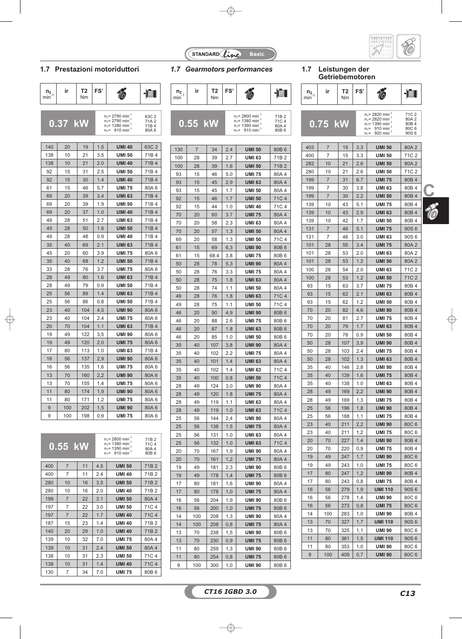

**C**<br>简

## **1.7 Prestazioni motoriduttori**

|  | 1.7 Gearmotors performances |  | 1.7 Leistungen der |
|--|-----------------------------|--|--------------------|
|--|-----------------------------|--|--------------------|

(STANDARD (line)

Nm

**Basic**

**FS' 1** 

| $n_{2}$ <sub>1</sub><br>min <sup>-</sup> | ir              | Τ2<br>Nm | FS'        |                                                                                                                                     |                               | $n_{2,1}$<br>min | ir             | Τ2<br>Nm   |
|------------------------------------------|-----------------|----------|------------|-------------------------------------------------------------------------------------------------------------------------------------|-------------------------------|------------------|----------------|------------|
|                                          | $0.37$ kW       |          |            | $n_1$ = 2790 min <sup>-1</sup><br>$n_1 = 2790$ min <sup>-1</sup><br>$n_1$ = 1380 min <sup>-1</sup><br>$n_1 = 910$ min <sup>-1</sup> | 63C 2<br>71A2<br>71B4<br>80A6 |                  | 0.55 kW        |            |
| 140                                      | 20              | 19       | 1.5        | <b>UMI 40</b>                                                                                                                       | 63C 2                         |                  |                |            |
| 138                                      | 10              | 21       | 3.5        | <b>UMI 50</b>                                                                                                                       | 71B 4                         | 130              | $\overline{7}$ | 34         |
| 138                                      | 10              | 21       | 2.0        | <b>UMI 40</b>                                                                                                                       | 71B 4                         | 100              | 28             | 39         |
| 92                                       | 15              | 31       | 2.5        | <b>UMI 50</b>                                                                                                                       | 71B 4                         | 100<br>93        | 28<br>15       | 39<br>46   |
| 92                                       | 15              | 30       | 1.4        | <b>UMI 40</b>                                                                                                                       | 71B 4                         | 93               | 15             | 45         |
| 61                                       | 15              | 46       | 5.7        | <b>UMI 75</b>                                                                                                                       | 80A 6                         | 93               | 15             | 45         |
| 69                                       | 20              | 39       | 3.4        | <b>UMI 63</b>                                                                                                                       | 71B 4                         | 92               | 15             | 46         |
| 69                                       | 20              | 39       | 1.9        | <b>UMI 50</b>                                                                                                                       | 71B 4                         | 92               | 15             | 44         |
| 69                                       | 20              | 37       | 1.0        | <b>UMI 40</b>                                                                                                                       | 71B 4                         | 70               | 20             | 60         |
| 49                                       | 28              | 51       | 2.7        | <b>UMI 63</b>                                                                                                                       | 71B4                          | 70               | 20             | 58         |
| 49                                       | 28              | 50       | 1.6        | <b>UMI 50</b>                                                                                                                       | 71B 4                         | 70               | 20             | 57         |
| 49                                       | 28              | 48       | 0.9        | <b>UMI 40</b>                                                                                                                       | 71B4                          | 69               | 20             | 58         |
| 35                                       | 40              | 69       | 2.1        | <b>UMI 63</b>                                                                                                                       | 71B 4                         | 61               | 15             | 69         |
| 45                                       | 20              | 60       | 3.9        | <b>UMI 75</b>                                                                                                                       | 80A 6                         | 61               | 15             | 68.4       |
| 35                                       | 40              | 68       | 1.2        | <b>UMI 50</b>                                                                                                                       | 71B 4                         | 50               | 28             | 78         |
| 33<br>28                                 | 28<br>49        | 76<br>80 | 3.7<br>1.6 | <b>UMI 75</b><br><b>UMI 63</b>                                                                                                      | 80A 6<br>71B 4                | 50               | 28             | 76         |
| 28                                       | 49              | 79       | 0.9        | <b>UMI 50</b>                                                                                                                       | 71B 4                         | 50               | 28             | 75         |
| 25                                       | 56              | 89       | 1.4        | <b>UMI 63</b>                                                                                                                       | 71B 4                         | 50               | 28             | 74         |
| 25                                       | 56              | 86       | 0.8        | <b>UMI 50</b>                                                                                                                       | 71B 4                         | 49               | 28             | 76         |
| 23                                       | 40              | 104      | 4,5        | <b>UMI 90</b>                                                                                                                       | 80A6                          | 49               | 28             | 75         |
| 23                                       | 40              | 104      | 2.4        | <b>UMI 75</b>                                                                                                                       | 80A 6                         | 46               | 20             | 90         |
| 20                                       | 70              | 104      | 1.1        | <b>UMI 63</b>                                                                                                                       | 71B 4                         | 46               | 20             | 88         |
| 19                                       | 49              | 122      | 3,5        | <b>UMI 90</b>                                                                                                                       | 80A 6                         | 46<br>46         | 20<br>20       | 87         |
| 19                                       | 49              | 120      | 2.0        | <b>UMI 75</b>                                                                                                                       | 80A6                          | 35               | 40             | 85<br>107  |
| 17                                       | 80              | 113      | 1.0        | <b>UMI 63</b>                                                                                                                       | 71B 4                         | 35               | 40             | 102        |
| 16                                       | 56              | 137      | 2,9        | <b>UMI 90</b>                                                                                                                       | 80A6                          | 35               | 40             | 101        |
| 16                                       | 56              | 135      | 1,6        | <b>UMI 75</b>                                                                                                                       | 80A 6                         | 35               | 40             | 102        |
| 13                                       | 70              | 160      | 2,2        | <b>UMI 90</b>                                                                                                                       | 80A6                          | 35               | 40             | 100        |
| 13                                       | 70              | 155      | 1,4        | <b>UMI 75</b>                                                                                                                       | 80A 6                         | 28               | 49             | 124        |
| 11                                       | 80              | 174      | 1,9        | <b>UMI 90</b>                                                                                                                       | 80A6                          | 28               | 49             | 120        |
| 11                                       | 80              | 171      | 1,2        | <b>UMI 75</b>                                                                                                                       | 80A6                          | 28               | 49             | 119        |
| 9                                        | 100             | 202      | 1,5        | <b>UMI 90</b>                                                                                                                       | 80A6                          | 28               | 49             | 119        |
| 9                                        | 100             | 198      | 0,9        | <b>UMI 75</b>                                                                                                                       | 80A6                          | 25               | 56             | 144        |
|                                          |                 |          |            |                                                                                                                                     |                               | 25               | 56             | 138        |
|                                          |                 |          |            |                                                                                                                                     |                               | 25               | 56             | 131        |
|                                          | $0.55$ kW       |          |            | $n_1$ = 2800 min <sup>-1</sup><br>$n_1$ = 1380 min <sup>-1</sup>                                                                    | 71B <sub>2</sub><br>71C 4     | 25               | 56             | 132        |
|                                          |                 |          |            | $n_1$ = 1390 min <sup>-1</sup><br>$n_1$ = 910 min <sup>-1</sup>                                                                     | 80A 4<br>80B6                 | 20               | 70             | 167        |
|                                          |                 |          |            |                                                                                                                                     |                               | 20               | 70             | 161        |
| 400                                      | 7               | 11       | 4.5        | <b>UMI 50</b>                                                                                                                       | 71B <sub>2</sub>              | 19               | 49             | 181        |
| 400                                      | 7               | 11       | 2.4        | <b>UMI 40</b>                                                                                                                       | 71B <sub>2</sub>              | 19               | 49             | 178        |
| 280                                      | 10              | 16       | 3.5        | <b>UMI 50</b>                                                                                                                       | 71B <sub>2</sub>              | 17               | 80             | 181        |
| 280                                      | 10              | 16       | 2.0        | <b>UMI 40</b>                                                                                                                       | 71B <sub>2</sub>              | 17               | 80             | 178        |
| 199<br>197                               | 7<br>7          | 22<br>22 | 3.1<br>3.0 | <b>UMI 50</b><br><b>UMI 50</b>                                                                                                      | 80A4<br>71C 4                 | 16               | 56             | 204        |
| 197                                      | $\overline{7}$  | 22       | 1.7        | <b>UMI 40</b>                                                                                                                       | 71C 4                         | 16               | 56             | 200        |
| 187                                      | 15              | 23       | 1.4        | <b>UMI 40</b>                                                                                                                       | 71B 2                         | 14<br>14         | 100<br>100     | 208        |
| 140                                      | 20              | 29       | 1.0        | <b>UMI 40</b>                                                                                                                       | 71B <sub>2</sub>              | 13               | 70             | 208<br>238 |
| 139                                      | 10              | 32       | 7.0        | <b>UMI 75</b>                                                                                                                       | 80A4                          | 13               | 70             | 230        |
| 139                                      | 10              | 31       | 2.4        | <b>UMI 50</b>                                                                                                                       | 80A 4                         | 11               | 80             | 259        |
| 138                                      | 10              | 31       | 2.3        | <b>UMI 50</b>                                                                                                                       | 71C 4                         | 11               | 80             | 254        |
| 138                                      | 10 <sup>1</sup> | 31       | 1.4        | <b>UMI 40</b>                                                                                                                       | 71C4                          | 9                | 100            | 300        |

130 7 34 7.0 **UMI 75** 80B 6

|     |         |      |     | $n_1$ = 2800 min <sup>-1</sup>                                   | 71B <sub>2</sub> |
|-----|---------|------|-----|------------------------------------------------------------------|------------------|
|     | 0.55 kW |      |     | $n_1$ = 1380 min <sup>-1</sup><br>$n_1$ = 1390 min <sup>-1</sup> | 71C4<br>80A 4    |
|     |         |      |     | $910$ min <sup>-1</sup><br>$n_1 =$                               | 80B6             |
|     |         |      |     |                                                                  |                  |
| 130 | 7       | 34   | 2.4 | <b>UMI 50</b>                                                    |                  |
|     |         |      |     |                                                                  | 80B6             |
| 100 | 28      | 39   | 2.7 | <b>UMI 63</b>                                                    | 71B <sub>2</sub> |
| 100 | 28      | 39   | 1.6 | <b>UMI 50</b>                                                    | 71B <sub>2</sub> |
| 93  | 15      | 46   | 5.0 | <b>UMI 75</b>                                                    | 80A4             |
| 93  | 15      | 45   | 2.9 | <b>UMI 63</b>                                                    | 80A 4            |
| 93  | 15      | 45   | 1.7 | <b>UMI 50</b>                                                    | 80A 4            |
| 92  | 15      | 46   | 1.7 | <b>UMI 50</b>                                                    | 71C4             |
| 92  | 15      | 44   | 1.0 | <b>UMI 40</b>                                                    | 71C 4            |
| 70  | 20      | 60   | 3.7 | <b>UMI 75</b>                                                    | 80A4             |
| 70  | 20      | 58   | 2.3 | <b>UMI 63</b>                                                    | 80A 4            |
| 70  | 20      | 57   | 1.3 | <b>UMI 50</b>                                                    | 80A 4            |
| 69  | 20      | 58   | 1.3 | <b>UMI 50</b>                                                    | 71C4             |
| 61  | 15      | 69   | 6,3 | <b>UMI 90</b>                                                    | 80B6             |
| 61  | 15      | 68.4 | 3.8 | <b>UMI 75</b>                                                    | 80B6             |
| 50  | 28      | 78   | 5,3 | <b>UMI 90</b>                                                    | 80A 4            |
| 50  | 28      | 76   | 3.3 | <b>UMI 75</b>                                                    | 80A 4            |
| 50  | 28      | 75   | 1.8 | <b>UMI 63</b>                                                    | 80A 4            |
| 50  | 28      | 74   | 1.1 | <b>UMI 50</b>                                                    | 80A4             |
| 49  |         | 76   | 1.8 | <b>UMI 63</b>                                                    |                  |
|     | 28      |      |     |                                                                  | 71C4             |
| 49  | 28      | 75   | 1.1 | <b>UMI 50</b>                                                    | 71C4             |
| 46  | 20      | 90   | 4,9 | UMI 90                                                           | 80B6             |
| 46  | 20      | 88   | 2.6 | <b>UMI 75</b>                                                    | 80B6             |
| 46  | 20      | 87   | 1.8 | <b>UMI 63</b>                                                    | 80B6             |
| 46  | 20      | 85   | 1.0 | <b>UMI 50</b>                                                    | 80B6             |
| 35  | 40      | 107  | 3,8 | <b>UMI 90</b>                                                    | 80A 4            |
| 35  | 40      | 102  | 2.2 | <b>UMI 75</b>                                                    | 80A 4            |
| 35  | 40      | 101  | 1.4 | <b>UMI 63</b>                                                    | 80A 4            |
| 35  | 40      | 102  | 1.4 | <b>UMI 63</b>                                                    | 71C4             |
| 35  | 40      | 100  | 0.8 | <b>UMI 50</b>                                                    | 71C4             |
| 28  | 49      | 124  | 3,0 | <b>UMI 90</b>                                                    | 80A 4            |
| 28  | 49      | 120  | 1.8 | <b>UMI 75</b>                                                    | 80A 4            |
| 28  | 49      | 119  | 1.1 | <b>UMI 63</b>                                                    | 80A 4            |
| 28  | 49      | 119  | 1.0 | <b>UMI 63</b>                                                    | 71C4             |
| 25  | 56      | 144  | 2.4 | <b>UMI 90</b>                                                    | 80A4             |
| 25  | 56      | 138  | 1.5 | <b>UMI 75</b>                                                    | 80A 4            |
| 25  | 56      | 131  | 1.0 | <b>UMI 63</b>                                                    | 80A 4            |
| 25  | 56      | 132  | 1.0 | <b>UMI 63</b>                                                    | 71C4             |
| 20  | 70      | 167  | 1,9 | <b>UMI 90</b>                                                    | 80A 4            |
| 20  | 70      | 161  | 1,2 | <b>UMI 75</b>                                                    | 80A 4            |
| 19  | 49      | 181  | 2,3 | <b>UMI 90</b>                                                    | 80B6             |
| 19  | 49      | 178  | 1,4 | <b>UMI 75</b>                                                    | 80B6             |
|     |         |      |     |                                                                  |                  |
| 17  | 80      | 181  | 1,6 | <b>UMI 90</b>                                                    | 80A 4            |
| 17  | 80      | 178  | 1,0 | <b>UMI 75</b>                                                    | 80A 4            |
| 16  | 56      | 204  | 1,9 | <b>UMI 90</b>                                                    | 80B 6            |
| 16  | 56      | 200  | 1,0 | <b>UMI 75</b>                                                    | 80B6             |
| 14  | 100     | 208  | 1,3 | UMI 90                                                           | 80A 4            |
| 14  | 100     | 208  | 0,8 | <b>UMI 75</b>                                                    | 80A 4            |
| 13  | 70      | 238  | 1,5 | <b>UMI 90</b>                                                    | 80B6             |
| 13  | 70      | 230  | 0,9 | <b>UMI 75</b>                                                    | 80B6             |
| 11  | 80      | 259  | 1,3 | <b>UMI 90</b>                                                    | 80B6             |
| 11  | 80      | 254  | 0,8 | <b>UMI 75</b>                                                    | 80B6             |
| 9   | 100     | 300  | 1,0 | <b>UMI 90</b>                                                    | 80B6             |
|     |         |      |     |                                                                  |                  |



| 403      | 7              | 15         | 3.3        | <b>UMI 50</b>                  | 80A2           |
|----------|----------------|------------|------------|--------------------------------|----------------|
| 400      | 7              | 15         | 3.3        | <b>UMI 50</b>                  | 71C 2          |
| 282      | 10             | 21         | 2.6        | <b>UMI 50</b>                  | 80A2           |
| 280      | 10             | 21         | 2.6        | UMI 50                         | 71C 2          |
| 199      | $\overline{7}$ | 31         | 6.7        | <b>UMI 75</b>                  | 80B 4          |
| 199      | 7              | 30         | 3.8        | <b>UMI 63</b>                  | 80B 4          |
| 199      | 7              | 30         | 2.2        | <b>UMI 50</b>                  | 80B 4          |
| 139      | 10             | 43         | 5.1        | <b>UMI 75</b>                  | 80B 4          |
| 139      | 10             | 43         | 2.9        | <b>UMI 63</b>                  | 80B 4          |
| 139      | 10             | 42         | 1.7        | <b>UMI 50</b>                  | 80B4           |
| 131      | $\overline{7}$ | 46         | 5.1        | <b>UMI 75</b>                  | 90S6           |
| 131      | 7              | 46         | 3.0        | <b>UMI 63</b>                  | 90S6           |
| 101      | 28             | 55         | 3.4        | <b>UMI 75</b>                  | 80A2           |
| 101      | 28             | 53         | 2.0        | <b>UMI 63</b>                  | 80A2           |
| 101      | 28             | 53         | 1.2        | <b>UMI 50</b>                  | 80A2           |
| 100      | 28             | 54         | 2.0        | UMI 63                         | 71C 2          |
| 100      | 28             | 53         | 1.2        | <b>UMI 50</b>                  | 71C 2          |
| 93       | 15             | 63         | 3.7        | <b>UMI 75</b>                  | 80B 4          |
| 93       | 15             | 62         | 2.1        | <b>UMI 63</b>                  | 80B 4          |
| 93       | 15             | 62         | 1.2        | <b>UMI 50</b>                  | 80B 4          |
| 70       | 20             | 82         | 4,6        | <b>UMI 90</b>                  | 80B 4          |
| 70       | 20             | 81         | 2.7        | <b>UMI 75</b>                  | 80B 4          |
| 70       | 20             | 79         | 1.7        | <b>UMI 63</b>                  | 80B 4          |
| 70       | 20             | 78         |            | <b>UMI 50</b>                  | 80B 4          |
|          |                |            | 0.9        |                                |                |
| 50<br>50 | 28<br>28       | 107<br>103 | 3,9<br>2.4 | <b>UMI 90</b><br><b>UMI 75</b> | 80B 4<br>80B 4 |
|          |                |            |            |                                | 80B 4          |
| 50       | 28             | 102        | 1.3        | <b>UMI 63</b>                  |                |
| 35       | 40             | 146        | 2,8        | UMI 90                         | 80B 4          |
| 35       | 40             | 139        | 1.6        | <b>UMI 75</b>                  | 80B 4          |
| 35       | 40             | 138        | 1.0        | UMI 63                         | 80B 4          |
| 28       | 49             | 169        | 2,2        | <b>UMI 90</b>                  | 80B 4          |
| 28       | 49             | 169        | 1,3        | <b>UMI 75</b>                  | 80B 4          |
| 25       | 56             | 196        | 1,8        | <b>UMI 90</b>                  | 80B 4          |
| 25       | 56             | 188        | 1,1        | <b>UMI 75</b>                  | 80B 4          |
| 23       | 40             | 211        | 2,2        | <b>UMI 90</b>                  | 80C6           |
| 23       | 40             | 211        | 1,2        | <b>UMI 75</b>                  | 80C 6          |
| 20       | 70             | 227        | 1,4        | <b>UMI 90</b>                  | 80B 4          |
| 20       | 70             | 220        | 0,9        | <b>UMI 75</b>                  | 80B 4          |
| 19       | 49             | 247        | 1,7        | UMI 90                         | 80C 6          |
| 19       | 49             | 243        | 1,0        | <b>UMI 75</b>                  | 80C 6          |
| 17       | 80             | 247        | 1,2        | <b>UMI 90</b>                  | 80B 4          |
| 17       | 80             | 243        | 0,8        | UMI 75                         | 80B 4          |
| 16       | 56             | 279        | 1,9        | <b>UMI 110</b>                 | 90S6           |
| 16       | 56             | 278        | 1,4        | <b>UMI 90</b>                  | 80C 6          |
| 16       | 56             | 273        | 0,8        | <b>UMI 75</b>                  | 80C 6          |
| 14       | 100            | 283        | 1,0        | <b>UMI 90</b>                  | 80B 4          |
| 13       | 70             | 327        | 1,7        | UMI 110                        | 90S 6          |
| 13       | 70             | 325        | 1,1        | UMI 90                         | 80C6           |
| 11       | 80             | 361        | 1,5        | <b>UMI 110</b>                 | 90S6           |
| 11       | 80             | 353        | 1,0        | <b>UMI 90</b>                  | 80C 6          |
| 9        | 100            | 409        | 0,7        | <b>UMI 90</b>                  | 80C 6          |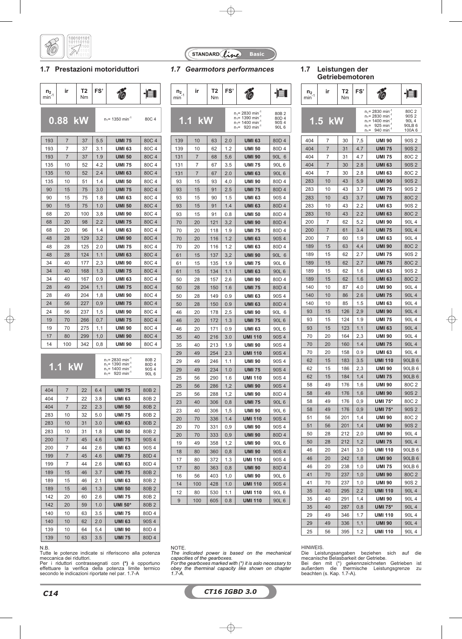

## **1.7 Prestazioni motoriduttori**

| $n_{2_{.1}}$<br>min | ir                            | Τ2<br>Nm | FS' | To                                                               |                           | n <sub>2</sub><br>min |
|---------------------|-------------------------------|----------|-----|------------------------------------------------------------------|---------------------------|-----------------------|
|                     | 0.88 kW                       |          |     | $n_1$ = 1350 min <sup>-1</sup>                                   | 80C 4                     |                       |
| 193                 | $\overline{7}$                | 37       | 5.5 | <b>UMI 75</b>                                                    | 80C 4                     | 13 <sub>3</sub>       |
| 193                 | 7                             | 37       | 3.1 | <b>UMI 63</b>                                                    | 80C 4                     | 13                    |
| 193                 | $\overline{7}$                | 37       | 1.9 | <b>UMI 50</b>                                                    | 80C 4                     | 13 <sup>°</sup>       |
| 135                 | 10                            | 52       | 4.2 | <b>UMI 75</b>                                                    | 80C 4                     | 13 <sup>′</sup>       |
| 135                 | 10                            | 52       | 2.4 | <b>UMI 63</b>                                                    | 80C 4                     | 13 <sup>7</sup>       |
| 135                 | 10                            | 51       | 1.4 | <b>UMI 50</b>                                                    | 80C 4                     | 93                    |
| 90                  | 15                            | 75       | 3.0 | <b>UMI 75</b>                                                    | 80C 4                     | 93                    |
| 90                  | 15                            | 75       | 1.8 | <b>UMI 63</b>                                                    | 80C 4                     | 93                    |
| 90                  | 15                            | 75       | 1.0 | <b>UMI 50</b>                                                    | 80C 4                     | 93                    |
| 68                  | 20                            | 100      | 3,8 | <b>UMI 90</b>                                                    | 80C 4                     | 93                    |
| 68                  | 20                            | 98       | 2.2 | <b>UMI 75</b>                                                    | 80C 4                     | 70                    |
| 68                  | 20                            | 96       | 1.4 | <b>UMI 63</b>                                                    | 80C 4                     | 70                    |
| 48                  | 28                            | 129      | 3,2 | <b>UMI 90</b>                                                    | 80C 4                     | 70                    |
| 48                  | 28                            | 125      | 2.0 | <b>UMI 75</b>                                                    | 80C 4                     | 70                    |
| 48                  | 28                            | 124      | 1.1 | <b>UMI 63</b>                                                    | 80C 4                     | 61                    |
| 34                  | 40                            | 177      | 2,3 | <b>UMI 90</b>                                                    | 80C 4                     | 61                    |
| 34                  | 40                            | 168      | 1.3 | <b>UMI 75</b>                                                    | 80C 4                     | 61                    |
| 34                  | 40                            | 167      | 0.9 | <b>UMI 63</b>                                                    | 80C 4                     | 50                    |
| 28                  | 49                            | 204      | 1,1 | <b>UMI 75</b>                                                    | 80C 4                     | 50                    |
| 28                  | 49                            | 204      | 1,8 | <b>UMI 90</b>                                                    | 80C 4                     | 50                    |
| 24                  | 56                            | 227      | 0,9 | <b>UMI 75</b>                                                    | 80C 4                     | 50                    |
| 24                  | 56                            | 237      | 1,5 | <b>UMI 90</b>                                                    | 80C 4                     | 46                    |
| 19                  | 70                            | 266      | 0,7 | <b>UMI 75</b>                                                    | 80C 4                     | 46                    |
| 19                  | 70                            | 275      | 1,1 | <b>UMI 90</b>                                                    | 80C 4                     | 46                    |
| 17                  | 80                            | 299      | 1,0 | <b>UMI 90</b>                                                    | 80C 4                     | 35                    |
| 14                  | 100                           | 342      | 0,8 | <b>UMI 90</b>                                                    | 80C 4                     | 35                    |
|                     |                               |          |     |                                                                  |                           | 29                    |
|                     |                               |          |     | $n_1$ = 2830 min <sup>-1</sup><br>$n_1$ = 1390 min <sup>-1</sup> | 80B <sub>2</sub><br>80D 4 | 29                    |
|                     | <b>kW</b><br>1.1 <sub>2</sub> |          |     | $n_1$ = 1400 min<br>920 min <sup>-1</sup><br>$n_1 =$             | 90S 4<br>90L6             | 29                    |
|                     |                               |          |     |                                                                  |                           | 25                    |
| 404                 | 7                             | 22       | 6.4 | <b>UMI 75</b>                                                    | 80B <sub>2</sub>          | 25                    |
| 404                 | 7                             | 22       | 3.8 | <b>UMI 63</b>                                                    | 80B <sub>2</sub>          | 25                    |
| 404                 | 7                             | 22       | 2.3 | <b>UMI 50</b>                                                    | 80B <sub>2</sub>          | 23                    |
| 283                 | 10                            | 32       | 5.0 | <b>UMI 75</b>                                                    | 80B <sub>2</sub>          | 23                    |
| 283                 | 10                            | 31       | 3.0 | <b>UMI 63</b>                                                    | 80B <sub>2</sub>          | 20                    |
| 283                 | 10                            | 31       | 1.8 | <b>UMI 50</b>                                                    | 80B <sub>2</sub>          | 20                    |
| 200                 | $\overline{7}$                | 45       | 4.6 | <b>UMI 75</b>                                                    | 90S 4                     | 20                    |
|                     |                               |          |     |                                                                  |                           |                       |

| STANDARD $l_{ABC}$ |  |
|--------------------|--|
|                    |  |

#### *1.7 Gearmotors performances* **1.7 Leistungen der**

| $n_{2_{-1}}$<br>min | ir       | Т2<br>Nm   | FS'        |                                                                                                                                         |                                            | $\mathsf{n}_2$<br>min |
|---------------------|----------|------------|------------|-----------------------------------------------------------------------------------------------------------------------------------------|--------------------------------------------|-----------------------|
|                     |          |            |            |                                                                                                                                         |                                            |                       |
| 1.1 kW              |          |            |            | $n_1$ = 2830 min <sup>-1</sup><br>$n_1$ = 1390 min <sup>-1</sup><br>$n_1$ = 1400 min <sup>-</sup><br>$920$ min <sup>-1</sup><br>$n_1 =$ | 80B <sub>2</sub><br>80D 4<br>90S 4<br>90L6 |                       |
| 139                 | 10       | 63         | 2.0        | <b>UMI 63</b>                                                                                                                           | 80D 4                                      | 40                    |
| 139                 | 10       | 62         | 1.2        | <b>UMI 50</b>                                                                                                                           | 80D 4                                      | 40                    |
| 131                 | 7        | 68         | 5,6        | <b>UMI 90</b>                                                                                                                           | 90L 6                                      | 40                    |
| 131                 | 7        | 67         | 3.5        | <b>UMI 75</b>                                                                                                                           | 90L 6                                      | 40                    |
| 131                 | 7        | 67         | 2.0        | <b>UMI 63</b>                                                                                                                           | 90L6                                       | 40                    |
| 93                  | 15       | 93         | 4,0        | <b>UMI 90</b>                                                                                                                           | 80D 4                                      | 28 <sup>°</sup>       |
| 93                  | 15       | 91         | 2.5        | <b>UMI 75</b>                                                                                                                           | 80D 4                                      | 28                    |
| 93                  | 15       | 90         | 1.5        | <b>UMI 63</b>                                                                                                                           | 90S 4                                      | 28                    |
| 93                  | 15       | 91         | 1.4        | <b>UMI 63</b>                                                                                                                           | 80D 4                                      | 28:                   |
| 93                  | 15       | 91         | 0.8        | <b>UMI 50</b>                                                                                                                           | 80D 4                                      | 28                    |
| 70                  | 20       | 121        | 3,2        | <b>UMI 90</b>                                                                                                                           | 80D 4                                      | 20                    |
| 70                  | 20       | 118        | 1.9        | <b>UMI 75</b>                                                                                                                           | 80D 4                                      | 20 <sub>0</sub>       |
| 70                  | 20       | 116        | 1.2        | <b>UMI 63</b>                                                                                                                           | 90S 4                                      | 20 <sub>0</sub>       |
| 70                  | 20       | 116        | 1.2        | <b>UMI 63</b>                                                                                                                           | 80D 4                                      | 18                    |
| 61                  | 15       | 137        | 3,2        | <b>UMI 90</b>                                                                                                                           | 90L 6                                      | 18                    |
| 61                  | 15       | 135        | 1.9        | <b>UMI 75</b>                                                                                                                           | 90L6                                       | 18                    |
| 61                  | 15       | 134        | 1.1        | <b>UMI 63</b>                                                                                                                           | 90L6                                       | 18 <sup>1</sup>       |
| 50                  | 28       | 157        | 2,6        | <b>UMI 90</b>                                                                                                                           | 80D 4                                      | 18                    |
| 50                  | 28       | 150        | 1.6        | <b>UMI 75</b>                                                                                                                           | 80D 4                                      | 14 <sub>1</sub>       |
| 50                  | 28       | 149        | 0.9        | <b>UMI 63</b>                                                                                                                           | 90S 4                                      | 14 <sub>1</sub>       |
| 50                  | 28       | 150        | 0.9        | <b>UMI 63</b>                                                                                                                           | 80D 4                                      | 141                   |
| 46                  | 20       | 178        | 2,5        | <b>UMI 90</b>                                                                                                                           | 90L 6                                      | 93                    |
| 46                  | 20       | 172        | 1.3        | <b>UMI 75</b>                                                                                                                           | 90L6                                       | 93                    |
| 46                  | 20       | 171        | 0.9        | <b>UMI 63</b>                                                                                                                           | 90L 6                                      | 93                    |
| 35                  | 40       | 216        | 3.0        | <b>UMI 110</b>                                                                                                                          | 90S 4                                      | <b>70</b>             |
| 35                  | 40       | 213        | 1.9        | <b>UMI 90</b>                                                                                                                           | 90S 4                                      | 70                    |
| 29                  | 49       | 254        | 2.3        | <b>UMI 110</b>                                                                                                                          | 90S 4                                      | 70                    |
| 29                  | 49       | 246        | 1.1        | <b>UMI 90</b>                                                                                                                           | 90S 4                                      | 62                    |
| 29                  | 49       | 234        | 1.0        | <b>UMI 75</b>                                                                                                                           | 90S 4                                      | 62<br>62              |
| 25                  | 56       | 290        | 1.6        | <b>UMI 110</b>                                                                                                                          | 90S 4                                      | 58                    |
| 25                  | 56       | 286        | 1,2        | <b>UMI 90</b>                                                                                                                           | 90S 4                                      | 58                    |
| 25                  | 56       | 288        | 1,2        | UMI 90                                                                                                                                  | 80D 4                                      | 58                    |
| 23                  | 40       | 306        | 0,8        | <b>UMI 75</b>                                                                                                                           | 90L6                                       | 58                    |
| 23                  | 40       | 306        | 1,5        | <b>UMI 90</b>                                                                                                                           | 90L 6                                      | 51                    |
| 20                  | 70       | 336        | 1.4        | <b>UMI 110</b>                                                                                                                          | 90S 4                                      | 51                    |
| 20                  | 70       | 331        | 0,9        | <b>UMI 90</b><br><b>UMI 90</b>                                                                                                          | 90S 4                                      | 50                    |
| 20<br>19            | 70<br>49 | 333<br>358 | 0,9<br>1,2 | <b>UMI 90</b>                                                                                                                           | 80D 4<br>90L6                              | 50                    |
| 18                  | 80       | 360        | 0,8        | <b>UMI 90</b>                                                                                                                           | 90S 4                                      | 46                    |
| 17                  | 80       | 372        | 1.3        | UMI 110                                                                                                                                 | 90S 4                                      | 46                    |
| 17                  | 80       | 363        | 0,8        | <b>UMI 90</b>                                                                                                                           | 80D 4                                      | 46                    |
| 16                  | 56       | 403        | 1,0        | <b>UMI 90</b>                                                                                                                           | 90L6                                       | 41                    |
| 14                  | 100      | 428        | 1.0        | <b>UMI 110</b>                                                                                                                          | 90S 4                                      | 41                    |
| 12                  | 80       | 530        | 1.1        | <b>UMI 110</b>                                                                                                                          | 90L 6                                      | 35                    |
| 9                   | 100      | 605        | 0.8        | <b>UMI 110</b>                                                                                                                          | 90L6                                       | 35                    |
|                     |          |            |            |                                                                                                                                         |                                            |                       |

# **Getriebemotoren**

| $n_{2,1}$<br>min <sup>-</sup> | ir             | T <sub>2</sub><br>Nm | FS'   |                                                                                                                                                                                                           |                                            |
|-------------------------------|----------------|----------------------|-------|-----------------------------------------------------------------------------------------------------------------------------------------------------------------------------------------------------------|--------------------------------------------|
|                               | 1.5 kW         |                      |       | $n_1$ = 2830 min <sup>-1</sup><br>$n_1$ = 2830 min <sup>-1</sup><br>$n_1$ = 1400 min <sup>-1</sup><br>-1<br>$925$ min <sup><math>\overline{ }</math></sup><br>$n_1 =$<br>940 min <sup>-1</sup><br>$n_1 =$ | 80C 2<br>90S 2<br>90L 4<br>90LB 6<br>100A6 |
| 404                           | 7              | 30                   | 7,5   | UMI 90                                                                                                                                                                                                    | 90S 2                                      |
| 404                           | 7              | 31                   | 4.7   | <b>UMI 75</b>                                                                                                                                                                                             | 90S 2                                      |
| 404                           | 7              | 31                   | 4.7   | <b>UMI 75</b>                                                                                                                                                                                             | 80C 2                                      |
| 404                           | 7              | 30                   | 2.8   | <b>UMI 63</b>                                                                                                                                                                                             | 90S 2                                      |
| 404                           | 7              | 30                   | 2.8   | <b>UMI 63</b>                                                                                                                                                                                             | 80C 2                                      |
| 283                           | 10             | 43                   | 5,9   | <b>UMI 90</b>                                                                                                                                                                                             | 90S 2                                      |
| 283                           | 10             | 43                   | 3.7   | <b>UMI 75</b>                                                                                                                                                                                             | 90S 2                                      |
| 283                           | 10             | 43                   | 3.7   | <b>UMI 75</b>                                                                                                                                                                                             | 80C <sub>2</sub>                           |
| 283                           | 10             | 43                   | 2.2   | <b>UMI 63</b>                                                                                                                                                                                             | 90S 2                                      |
| 283                           | 10             | 43                   | 2.2   | <b>UMI 63</b>                                                                                                                                                                                             | 80C <sub>2</sub>                           |
| 200                           | 7              | 62                   | 5,2   | <b>UMI 90</b>                                                                                                                                                                                             | 90L 4                                      |
| 200                           | $\overline{7}$ | 61                   | 3.4   | <b>UMI 75</b>                                                                                                                                                                                             | 90L 4                                      |
| 200                           | 7              | 60                   | 1.9   | <b>UMI 63</b>                                                                                                                                                                                             | 90L 4                                      |
| 189                           | 15             | 63                   | 4,4   | <b>UMI 90</b>                                                                                                                                                                                             | 80C 2                                      |
| 189                           | 15             | 62                   | 2.7   | <b>UMI 75</b>                                                                                                                                                                                             | 90S 2                                      |
| 189                           | 15             | 62                   | 2.7   | <b>UMI 75</b>                                                                                                                                                                                             | 80C 2                                      |
| 189                           | 15             | 62                   | 1.6   | <b>UMI 63</b>                                                                                                                                                                                             | 90S 2                                      |
| 189                           | 15             | 62                   | 1.6   | <b>UMI 63</b>                                                                                                                                                                                             | 80C <sub>2</sub>                           |
| 140                           | 10             | 87                   | 4,0   | <b>UMI 90</b>                                                                                                                                                                                             | 90L 4                                      |
| 140                           | 10             | 86                   | 2.6   | <b>UMI 75</b>                                                                                                                                                                                             | 90L 4                                      |
| 140                           | 10             | 85                   | 1.5   | UMI 63                                                                                                                                                                                                    | 90L 4                                      |
| 93                            | 15             | 126                  | 2,9   | <b>UMI 90</b>                                                                                                                                                                                             | 90L 4                                      |
| 93                            | 15             | 124                  | 1.9   | <b>UMI 75</b>                                                                                                                                                                                             | 90L 4                                      |
| 93                            | 15             | 123                  | 1.1   | <b>UMI 63</b>                                                                                                                                                                                             | 90L 4                                      |
| 70                            | 20             | 164                  | 2,3   | <b>UMI 90</b>                                                                                                                                                                                             | 90L 4                                      |
| 70                            | 20             | 160                  | 1.4   | <b>UMI 75</b>                                                                                                                                                                                             | 90L 4                                      |
| 70                            | 20             | 158                  | 0.9   | UMI 63                                                                                                                                                                                                    | 90L 4                                      |
| 62                            | 15             | 183                  | 3.5   | <b>UMI 110</b>                                                                                                                                                                                            | 90LB 6                                     |
| 62                            | 15             | 186                  | 2,3   | <b>UMI 90</b>                                                                                                                                                                                             | 90LB 6                                     |
| 62                            | 15             | 184                  | 1,4   | <b>UMI 75</b>                                                                                                                                                                                             | 90LB <sub>6</sub>                          |
| 58                            | 49             | 176                  | 1,6   | <b>UMI 90</b>                                                                                                                                                                                             | 80C 2                                      |
| 58                            | 49             | 176                  | 1,6   | <b>UMI 90</b>                                                                                                                                                                                             | 90S 2                                      |
| 58                            | 49             | 176                  | 0,9   | UMI 75*                                                                                                                                                                                                   | 80C 2                                      |
| 58                            | 49             | 176                  | 0,9   | <b>UMI 75*</b>                                                                                                                                                                                            | 90S 2                                      |
| 51                            | 56             | 201                  | 1,4   | UMI 90                                                                                                                                                                                                    | 80C <sub>2</sub>                           |
| 51                            | 56             | 201                  | 1,4   | UMI 90                                                                                                                                                                                                    | 90S 2                                      |
| 50                            | 28             | 212                  | 2,0   | UMI 90                                                                                                                                                                                                    | 90L 4                                      |
| 50                            | 28             | 212                  | 1,2   | <b>UMI 75</b>                                                                                                                                                                                             | 90L 4                                      |
| 46                            | 20             | 241                  | 3.0   | UMI 110                                                                                                                                                                                                   | 90LB 6                                     |
| 46                            | 20             | 242                  | 1,8   | UMI 90                                                                                                                                                                                                    | 90LB 6                                     |
| 46                            | 20             | 238                  | 1,0   | <b>UMI 75</b>                                                                                                                                                                                             | 90LB 6                                     |
| 41                            | 70             | 237                  | 1,0   | UMI 90                                                                                                                                                                                                    | 80C 2                                      |
| 41                            | 70             | 237                  | 1,0   | <b>UMI 90</b>                                                                                                                                                                                             | 90S 2                                      |
| 35                            | 40             | 295                  | 2.2   | <b>UMI 110</b>                                                                                                                                                                                            | 90L 4                                      |
| 35                            | 40             | 291                  | 1,4   | UMI 90                                                                                                                                                                                                    | 90L 4                                      |
| 35                            | 40             | 287                  | 0,8   | UMI 75*                                                                                                                                                                                                   | 90L 4                                      |
| 29                            | 49             | 346                  | 1.7   | <b>UMI 110</b>                                                                                                                                                                                            | 90L 4                                      |
| 29                            | 49             | 336                  | 1,1   | UMI 90                                                                                                                                                                                                    | 90L 4                                      |
| 25                            | 56             | 395                  | $1.2$ | <b>UMI 110</b>                                                                                                                                                                                            | 90L 4                                      |

## N.B.

Tutte le potenze indicate si riferiscono alla potenza meccanica dei riduttori.

200 7 44 2.6 **UMI 63** 90S 4 199 | 7 | 45 | 4.6 | **UMI 75** | 80D 4 199 7 44 2.6 **UMI 63** 80D 4 189 | 15 | 46 | 3.7 | **UMI 75** | 80B 2  $189$  15 46 2.1 **UMI 63** 80B 2 189 15 46 1.3 **UMI 50** 80B 2 142 20 60 2.6 **UMI 75** 80B 2 142 | 20 | 59 | 1.0 | **UMI 50\*** | 80B 2 140 | 10 | 63 | 3.5 | **UMI 75** | 80D 4 140 10 62 2.0 **UMI 63** 90S 4 139 10 64 5,4 **UMI 90** 80D 4 139 10 63 3.5 **UMI 75** 80D 4

Per i riduttori contrassegnati con **(\*)** è opportuno effettuare la verifica della potenza limite termico secondo le indicazioni riportate nel par. 1.7-A

#### NOTE.

The indicated power is based on the mechanical<br>capacities of the gearboxes.<br>For the gearboxes marked with (\*) it is aslo necessary to<br>obey the therminal capacity like shown on chapter<br>1.7-A.

HINWEIS. Die Leistungsangaben beziehen sich auf die mecanische Belasbarkeit der Getriebe. Bei den mit (\*) gekennzeichneten Getrieben ist außerdem die thermische Leistungsgrenze zu beachten (s. Kap. 1.7-A).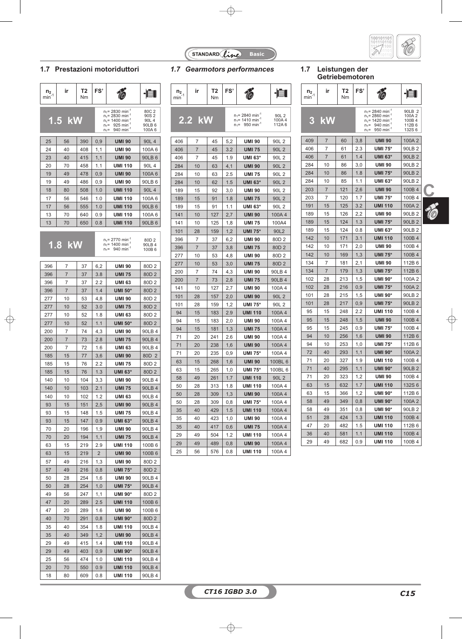

 $\frac{1}{\sqrt[3]{6}}$ 

## (STANDARD (line) **1.7 Prestazioni motoriduttori**

## **1.7 Gearmotors performances**

**Basic**

| $n_{2_{1}}$<br>min | ir                  | Τ2<br>Nm | FS'            |                                                                                                                                                                              |                                            | n <sub>2</sub><br>min    |
|--------------------|---------------------|----------|----------------|------------------------------------------------------------------------------------------------------------------------------------------------------------------------------|--------------------------------------------|--------------------------|
| 1.5 kW             |                     |          |                | $n_1$ = 2830 min <sup>-1</sup><br>$n_1$ = 2830 min <sup>-1</sup><br>$n_1$ = 1400 min <sup>-1</sup><br>$925$ min <sup>-1</sup><br>$n_1 =$<br>940 min <sup>-1</sup><br>$n_1 =$ | 80C 2<br>90S 2<br>90L 4<br>90LB 6<br>100A6 |                          |
| 25                 | 56                  | 390      | 0,9            | <b>UMI 90</b>                                                                                                                                                                | 90L 4                                      | 40                       |
| 24                 | 40                  | 408      | 1,1            | <b>UMI 90</b>                                                                                                                                                                | 100A6                                      | 40                       |
| 23                 | 40                  | 415      | 1,1            | <b>UMI 90</b>                                                                                                                                                                | 90LB 6                                     | 40                       |
| 20                 | 70                  | 458      | 1.1            | <b>UMI 110</b>                                                                                                                                                               | 90L 4                                      | 284                      |
| 19                 | 49                  | 478      | 0,9            | <b>UMI 90</b>                                                                                                                                                                | 100A6                                      | 28                       |
| 19                 | 49                  | 486      | 0,9            | <b>UMI 90</b>                                                                                                                                                                | 90LB 6                                     | 284                      |
| 18                 | 80                  | 508      | 1.0            | <b>UMI 110</b>                                                                                                                                                               | 90L 4                                      | 18                       |
| 17                 | 56                  | 546      | 1.0            | <b>UMI 110</b>                                                                                                                                                               | 100A6                                      | 18                       |
| 17                 | 56                  | 555      | 1.0            | <b>UMI 110</b>                                                                                                                                                               | 90LB 6                                     | 18                       |
| 13                 | 70                  | 640      | 0.9            | <b>UMI 110</b>                                                                                                                                                               | 100A6                                      | 14 <sup>1</sup>          |
| 13                 | 70                  | 650      | 0.8            | <b>UMI 110</b>                                                                                                                                                               | 90LB 6                                     | 14 <sup>1</sup>          |
|                    |                     |          |                |                                                                                                                                                                              |                                            | 10 <sup>1</sup>          |
|                    | 1.8 kW              |          |                | $n_1 = 2770$ min <sup>-1</sup><br>$n_1$ = 1400 min <sup>-1</sup><br>$n_1 = 940$ min <sup>-1</sup>                                                                            | 80D <sub>2</sub><br>90LB 4<br>100B6        | 39<br>39<br>$27^{\circ}$ |
|                    |                     |          |                |                                                                                                                                                                              |                                            | $27^{\circ}$             |
| 396<br>396         | 7<br>$\overline{7}$ | 37<br>37 | 6,2            | <b>UMI 90</b><br><b>UMI 75</b>                                                                                                                                               | 80D <sub>2</sub><br>80D <sub>2</sub>       | 20                       |
| 396                | 7                   | 37       | 3.8<br>2.2     | <b>UMI 63</b>                                                                                                                                                                | 80D <sub>2</sub>                           | 20                       |
| 396                | 7                   | 37       | 1.4            | <b>UMI 50*</b>                                                                                                                                                               | 80D <sub>2</sub>                           | 14 <sup>1</sup>          |
| 277                | 10                  | 53       | 4,8            | <b>UMI 90</b>                                                                                                                                                                | 80D <sub>2</sub>                           | 10 <sup>1</sup>          |
| 277                | 10                  | 52       | 3.0            | <b>UMI 75</b>                                                                                                                                                                | 80D <sub>2</sub>                           | 10 <sup>1</sup>          |
| 277                | 10                  | 52       | 1.8            | <b>UMI 63</b>                                                                                                                                                                | 80D <sub>2</sub>                           | 94                       |
| 277                | 10                  | 52       | 1.1            | UMI 50*                                                                                                                                                                      | 80D <sub>2</sub>                           | 94                       |
| 200                | 7                   | 74       | 4,3            | <b>UMI 90</b>                                                                                                                                                                | 90LB 4                                     | 94                       |
| 200                | 7                   | 73       | 2.8            | <b>UMI 75</b>                                                                                                                                                                | 90LB 4                                     | 71                       |
| 200                | 7                   | 72       | 1.6            | <b>UMI 63</b>                                                                                                                                                                | 90LB 4                                     | 71                       |
| 185                | 15                  | 77       | 3,6            | <b>UMI 90</b>                                                                                                                                                                | 80D 2                                      | 71                       |
| 185                | 15                  | 76       | 2.2            | <b>UMI 75</b>                                                                                                                                                                | 80D <sub>2</sub>                           | 63                       |
| 185                | 15                  | 76       | 1.3            | UMI 63*                                                                                                                                                                      | 80D <sub>2</sub>                           | 63                       |
| 140                | 10                  | 104      | 3,3            | <b>UMI 90</b>                                                                                                                                                                | 90LB 4                                     | 58                       |
| 140                | 10                  | 103      | 2.1            | <b>UMI 75</b>                                                                                                                                                                | 90LB 4                                     | 50                       |
| 140                | 10                  | 102      | 1.2            | <b>UMI 63</b>                                                                                                                                                                | 90LB 4                                     | 50                       |
| 93                 | 15                  | 151      | 2,5            | <b>UMI 90</b>                                                                                                                                                                | 90LB 4                                     | 50                       |
| 93                 | 15                  | 148      | 1.5            | <b>UMI 75</b>                                                                                                                                                                | 90LB 4                                     | 35                       |
| 93                 | 15                  | 147      | 0.9            | UMI 63*                                                                                                                                                                      | 90LB 4                                     | 35                       |
| 70                 | 20                  | 196      | 1,9            | UMI 90                                                                                                                                                                       | 90LB 4                                     | 35                       |
| 70                 | 20                  | 194      | 1,1            | <b>UMI 75</b>                                                                                                                                                                | 90LB 4                                     | 29                       |
| 63                 | 15                  | 219      | 2.9            | <b>UMI 110</b>                                                                                                                                                               | 100B6                                      | 29                       |
| 63                 | 15                  | 219      | $\overline{2}$ | <b>UMI 90</b>                                                                                                                                                                | 100B6                                      | 25                       |
| 57                 | 49                  | 216      | 1,3            | <b>UMI 90</b>                                                                                                                                                                | 80D 2                                      |                          |
| 57                 | 49                  | 216      | 0,8            | UMI 75*                                                                                                                                                                      | 80D 2                                      |                          |
| 50                 | 28                  | 254      | 1,6            | <b>UMI 90</b>                                                                                                                                                                | 90LB 4                                     |                          |
| 50                 | 28                  | 254      | 1,0            | UMI 75*                                                                                                                                                                      | 90LB 4                                     |                          |
| 49                 | 56                  | 247      | 1,1            | UMI 90*                                                                                                                                                                      | 80D <sub>2</sub>                           |                          |
| 47                 | 20                  | 289      | $2.5\,$        | UMI 110                                                                                                                                                                      | 100B6                                      |                          |
| 47                 | 20                  | 289      | 1.6            | UMI 90                                                                                                                                                                       | 100B6                                      |                          |
| 40                 | 70                  | 291      | 0,8            | <b>UMI 90*</b>                                                                                                                                                               | 80D 2                                      |                          |
| 35                 | 40                  | 354      | 1.8            | UMI 110                                                                                                                                                                      | 90LB 4                                     |                          |
| 35                 | 40                  | 349      | 1,2            | <b>UMI 90</b>                                                                                                                                                                | 90LB 4                                     |                          |
| 29                 | 49                  | 415      | 1.4            | <b>UMI 110</b>                                                                                                                                                               | 90LB 4                                     |                          |
| 29                 | 49                  | 403      | 0,9            | UMI 90*                                                                                                                                                                      | 90LB 4                                     |                          |
| 25                 | 56                  | 474      | 1.0            | UMI 110                                                                                                                                                                      | 90LB 4                                     |                          |
| 20                 | 70                  | 550      | 0.9            | <b>UMI 110</b>                                                                                                                                                               | 90LB 4                                     |                          |
| 18                 | 80                  | 609      | 0.8            | UMI 110                                                                                                                                                                      | 90LB 4                                     |                          |

| $n_{2,1}$<br>min | ir             | Τ2<br>Nm | FS' |                                                                                                        |                         |
|------------------|----------------|----------|-----|--------------------------------------------------------------------------------------------------------|-------------------------|
|                  | 2.2 kW         |          |     | $n_1 = 2840$ min <sup>-1</sup><br>$n_1$ = 1410 min <sup>-1</sup><br>$950$ min <sup>-1</sup><br>$n_1 =$ | 90L 2<br>100A4<br>112A6 |
| 406              | 7              | 45       | 5,2 | <b>UMI 90</b>                                                                                          | 90L 2                   |
| 406              | $\overline{7}$ | 45       | 3.2 | <b>UMI 75</b>                                                                                          | 90L 2                   |
| 406              | 7              | 45       | 1.9 | UMI 63*                                                                                                | 90L 2                   |
| 284              | 10             | 63       | 4,1 | <b>UMI 90</b>                                                                                          | 90L 2                   |
| 284              | 10             | 63       | 2.5 | <b>UMI 75</b>                                                                                          | 90L 2                   |
| 284              | 10             | 62       | 1.5 | <b>UMI 63*</b>                                                                                         | 90L 2                   |
| 189              | 15             | 92       | 3,0 | <b>UMI 90</b>                                                                                          | 90L 2                   |
| 189              | 15             | 91       | 1.8 | <b>UMI 75</b>                                                                                          | 90L 2                   |
| 189              | 15             | 91       | 1.1 | UMI 63*                                                                                                | 90L 2                   |
| 141              | 10             | 127      | 2,7 | <b>UMI 90</b>                                                                                          | 100A 4                  |
| 141              | 10             | 125      | 1,8 | <b>UMI 75</b>                                                                                          | 100A4                   |
| 101              | 28             | 159      | 1,2 | <b>UMI 75*</b>                                                                                         | 90L2                    |
| 396              | 7              | 37       | 6,2 | <b>UMI 90</b>                                                                                          | 80D <sub>2</sub>        |
| 396              | 7              | 37       | 3,8 | <b>UMI 75</b>                                                                                          | 80D <sub>2</sub>        |
| 277              | 10             | 53       | 4,8 | <b>UMI 90</b>                                                                                          | 80D <sub>2</sub>        |
| 277              | 10             | 53       | 3,0 | <b>UMI 75</b>                                                                                          | 80D <sub>2</sub>        |
| 200              | 7              | 74       | 4,3 | <b>UMI 90</b>                                                                                          | 90LB 4                  |
| 200              | $\overline{7}$ | 73       | 2,8 | <b>UMI 75</b>                                                                                          | 90LB 4                  |
| 141              | 10             | 127      | 2,7 | <b>UMI 90</b>                                                                                          | 100A4                   |
| 101              | 28             | 157      | 2,0 | <b>UMI 90</b>                                                                                          | 90L 2                   |
| 101              | 28             | 159      | 1,2 | <b>UMI 75*</b>                                                                                         | 90L 2                   |
| 94               | 15             | 183      | 2.9 | <b>UMI 110</b>                                                                                         | 100A4                   |
| 94               | 15             | 183      | 2,0 | <b>UMI 90</b>                                                                                          | 100A4                   |
| 94               | 15             | 181      | 1,3 | <b>UMI 75</b>                                                                                          | 100A4                   |
| 71               | 20             | 241      | 2.6 | <b>UMI 90</b>                                                                                          | 100A4                   |
| 71               | 20             | 238      | 1,6 | <b>UMI 90</b>                                                                                          | 100A4                   |
| 71               | 20             | 235      | 0,9 | <b>UMI 75*</b>                                                                                         | 100A4                   |
| 63               | 15             | 268      | 1,6 | <b>UMI 90</b>                                                                                          | 100BL 6                 |
| 63               | 15             | 265      | 1,0 | <b>UMI 75*</b>                                                                                         | 100BL 6                 |
| 58               | 49             | 261      | 1.7 | <b>UMI 110</b>                                                                                         | 90L 2                   |
| 50               | 28             | 313      | 1.8 | UMI 110                                                                                                | 100A4                   |
| 50               | 28             | 309      | 1,3 | <b>UMI 90</b>                                                                                          | 100A4                   |
| 50               | 28             | 309      | 0,8 | <b>UMI 75*</b>                                                                                         | 100A4                   |
| 35               | 40             | 429      | 1.5 | <b>UMI 110</b>                                                                                         | 100A4                   |
| 35               | 40             | 423      | 1,0 | <b>UMI 90</b>                                                                                          | 100A4                   |
| 35               | 40             | 417      | 0,6 | <b>UMI 75</b>                                                                                          | 100A4                   |
| 29               | 49             | 504      | 1.2 | <b>UMI 110</b>                                                                                         | 100A4                   |
| 29               | 49             | 489      | 0,8 | <b>UMI 90</b>                                                                                          | 100A4                   |
| 25               | 56             | 576      | 0.8 | <b>UMI 110</b>                                                                                         | 100A4                   |

# 1.7 Leistungen der<br>Getriebemotoren

| $n_{2,1}$<br>min | ir             | T <sub>2</sub><br>Nm | FS' |                                                                                                                                                                              | -IÊN                                          |
|------------------|----------------|----------------------|-----|------------------------------------------------------------------------------------------------------------------------------------------------------------------------------|-----------------------------------------------|
|                  | 3 kW           |                      |     | $n_1$ = 2840 min <sup>-1</sup><br>$n_1$ = 2860 min <sup>-1</sup><br>$n_1$ = 1420 min <sup>-1</sup><br>940 min <sup>-1</sup><br>$n_1 =$<br>$950$ min <sup>-1</sup><br>$n_1 =$ | 90LB 2<br>100A 2<br>100B4<br>112B 6<br>132S 6 |
| 409              | 7              | 60                   | 3,8 | <b>UMI 90</b>                                                                                                                                                                | 100A2                                         |
| 406              | 7              | 61                   | 2.3 | UMI 75*                                                                                                                                                                      | 90LB 2                                        |
| 406              | $\overline{7}$ | 61                   | 1.4 | <b>UMI 63*</b>                                                                                                                                                               | 90LB 2                                        |
| 284              | 10             | 86                   | 3,0 | UMI 90                                                                                                                                                                       | 90LB 2                                        |
| 284              | 10             | 86                   | 1.8 | <b>UMI 75*</b>                                                                                                                                                               | 90LB 2                                        |
| 284              | 10             | 85                   | 1.1 | UMI 63*                                                                                                                                                                      | 90LB 2                                        |
| 203              | 7              | 121                  | 2,6 | <b>UMI 90</b>                                                                                                                                                                | 100B4                                         |
| 203              | 7              | 120                  | 1.7 | UMI 75*                                                                                                                                                                      | 100B 4                                        |
| 191              | 15             | 125                  | 3.2 | <b>UMI 110</b>                                                                                                                                                               | 100A2                                         |
| 189              | 15             | 126                  | 2,2 | UMI 90                                                                                                                                                                       | 90LB 2                                        |
| 189              | 15             | 124                  | 1.3 | <b>UMI 75*</b>                                                                                                                                                               | 90LB 2                                        |
| 189              | 15             | 124                  | 0.8 | UMI 63*                                                                                                                                                                      | 90LB 2                                        |
| 142              | 10             | 171                  | 3.1 | UMI 110                                                                                                                                                                      | 100B4                                         |
| 142              | 10             | 171                  | 2,0 | UMI 90                                                                                                                                                                       | 100B 4                                        |
| 142              | 10             | 169                  | 1,3 | <b>UMI 75*</b>                                                                                                                                                               | 100B 4                                        |
| 134              | 7              | 181                  | 2,1 | UMI 90                                                                                                                                                                       | 112B6                                         |
| 134              | 7              | 179                  | 1,3 | <b>UMI 75*</b>                                                                                                                                                               | 112B6                                         |
| 102              | 28             | 213                  | 1,5 | <b>UMI 90*</b>                                                                                                                                                               | 100A2                                         |
| 102              | 28             | 216                  | 0,9 | <b>UMI 75*</b>                                                                                                                                                               | 100A2                                         |
| 101              | 28             | 215                  | 1,5 | UMI 90*                                                                                                                                                                      | 90LB 2                                        |
| 101              | 28             | 217                  | 0,9 | <b>UMI 75*</b>                                                                                                                                                               | 90LB 2                                        |
| 95               | 15             | 248                  | 2.2 | UMI 110                                                                                                                                                                      | 100B4                                         |
| 95               | 15             | 248                  | 1,5 | <b>UMI 90</b>                                                                                                                                                                | 100B4                                         |
| 95               | 15             | 245                  | 0,9 | <b>UMI 75*</b>                                                                                                                                                               | 100B4                                         |
| 94               | 10             | 256                  | 1,6 | <b>UMI 90</b>                                                                                                                                                                | 112B6                                         |
| 94               | 10             | 253                  | 1,0 | UMI 75*                                                                                                                                                                      | 112B 6                                        |
| 72               | 40             | 293                  | 1,1 | <b>UMI 90*</b>                                                                                                                                                               | 100A2                                         |
| 71               | 20             | 327                  | 1.9 | UMI 110                                                                                                                                                                      | 100B4                                         |
| 71               | 40             | 295                  | 1,1 | UMI 90*                                                                                                                                                                      | 90LB <sub>2</sub>                             |
| 71               | 20             | 323                  | 1,2 | <b>UMI 90</b>                                                                                                                                                                | 100B4                                         |
| 63               | 15             | 632                  | 1.7 | UMI 110                                                                                                                                                                      | 132S 6                                        |
| 63               | 15             | 366                  | 1,2 | UMI 90*                                                                                                                                                                      | 112B 6                                        |
| 58               | 49             | 349                  | 0,8 | <b>UMI 90*</b>                                                                                                                                                               | 100A2                                         |
| 58               | 49             | 351                  | 0,8 | <b>UMI 90*</b>                                                                                                                                                               | 90LB 2                                        |
| 51               | 28             | 424                  | 1.3 | UMI 110                                                                                                                                                                      | 100B4                                         |
| 47               | 20             | 482                  | 1.5 | <b>UMI 110</b>                                                                                                                                                               | 112B6                                         |
| 36               | 40             | 581                  | 1.1 | <b>UMI 110</b>                                                                                                                                                               | 100B4                                         |
| 29               | 49             | 682                  | 0.9 | UMI 110                                                                                                                                                                      | 100B4                                         |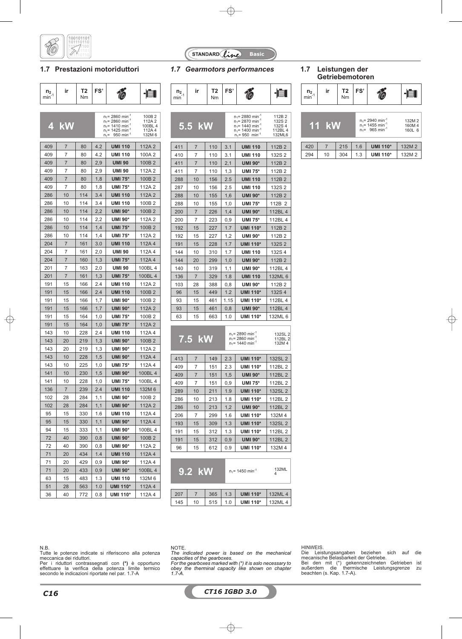



#### **1.7 Prestazioni motoriduttori**

| $n_{2,1}$<br>min <sup>-</sup> | ir             | Τ2<br>Nm | FS' |                                                                                                                                     |                                      | n <sub>2</sub><br>min |
|-------------------------------|----------------|----------|-----|-------------------------------------------------------------------------------------------------------------------------------------|--------------------------------------|-----------------------|
|                               |                |          |     | $n_1$ = 2860 min <sup>-1</sup>                                                                                                      | 100B <sub>2</sub>                    |                       |
|                               | 4 kW           |          |     | $n_1 = 2860$ min <sup>-1</sup><br>$n_1$ = 1410 min <sup>-1</sup><br>$n_1$ = 1425 min <sup>-1</sup><br>$n_1 = 950$ min <sup>-1</sup> | 112A 2<br>100BL 4<br>112A4<br>132M 6 | Ļ                     |
| 409                           | $\overline{7}$ | 80       | 4.2 | <b>UMI 110</b>                                                                                                                      | 112A 2                               | 41 <sup>2</sup>       |
| 409                           | 7              | 80       | 4.2 | <b>UMI 110</b>                                                                                                                      | 100A2                                | 41                    |
| 409                           | 7              | 80       | 2,9 | <b>UMI 90</b>                                                                                                                       | 100B <sub>2</sub>                    | 41 <sup>2</sup>       |
| 409                           | 7              | 80       | 2,9 | <b>UMI 90</b>                                                                                                                       | 112A 2                               | 41 <sup>2</sup>       |
| 409                           | 7              | 80       | 1,8 | <b>UMI 75*</b>                                                                                                                      | 100B <sub>2</sub>                    | 28                    |
| 409                           | 7              | 80       | 1,8 | <b>UMI 75*</b>                                                                                                                      | 112A 2                               | 28                    |
| 286                           | 10             | 114      | 3.4 | <b>UMI 110</b>                                                                                                                      | 112A 2                               | <b>28</b>             |
| 286                           | 10             | 114      | 3.4 | <b>UMI 110</b>                                                                                                                      | 100B <sub>2</sub>                    | 28                    |
| 286                           | 10             | 114      | 2,2 | <b>UMI 90*</b>                                                                                                                      | 100B <sub>2</sub>                    | 20                    |
| 286                           | 10             | 114      | 2,2 | <b>UMI 90*</b>                                                                                                                      | 112A 2                               | 20                    |
| 286                           | 10             | 114      | 1,4 | <b>UMI 75*</b>                                                                                                                      | 100B <sub>2</sub>                    | 19 <sub>2</sub>       |
| 286                           | 10             | 114      | 1,4 | <b>UMI 75*</b>                                                                                                                      | 112A 2                               | 192                   |
| 204                           | 7              | 161      | 3.0 | <b>UMI 110</b>                                                                                                                      | 112A4                                | 19 <sup>°</sup>       |
| 204                           | 7              | 161      | 2,0 | <b>UMI 90</b>                                                                                                                       | 112A4                                | 144                   |
| 204                           | 7              | 160      | 1,3 | <b>UMI 75*</b>                                                                                                                      | 112A 4                               | 144                   |
| 201                           | 7              | 163      | 2,0 | <b>UMI 90</b>                                                                                                                       | 100BL 4                              | 14(                   |
| 201                           | $\overline{7}$ | 161      | 1,3 | <b>UMI 75*</b>                                                                                                                      | 100BL 4                              | 136                   |
| 191                           | 15             | 166      | 2.4 | <b>UMI 110</b>                                                                                                                      | 112A 2                               | 10:                   |
| 191                           | 15             | 166      | 2.4 | <b>UMI 110</b>                                                                                                                      | 100B <sub>2</sub>                    | 96                    |
| 191                           | 15             | 166      | 1,7 | <b>UMI 90*</b>                                                                                                                      | 100B <sub>2</sub>                    | 93                    |
| 191                           | 15             | 166      | 1,7 | <b>UMI 90*</b>                                                                                                                      | 112A 2                               | 93                    |
| 191                           | 15             | 164      | 1,0 | <b>UMI 75*</b>                                                                                                                      | 100B <sub>2</sub>                    | 63                    |
| 191                           | 15             | 164      | 1,0 | <b>UMI 75*</b>                                                                                                                      | 112A 2                               |                       |
| 143                           | 10             | 228      | 2.4 | <b>UMI 110</b>                                                                                                                      | 112A 4                               |                       |
| 143                           | 20             | 219      | 1,3 | <b>UMI 90*</b>                                                                                                                      | 100B <sub>2</sub>                    | Z                     |
| 143                           | 20             | 219      | 1,3 | UMI 90*                                                                                                                             | 112A 2                               |                       |
| 143                           | 10             | 228      | 1,5 | UMI 90*                                                                                                                             | 112A 4                               | 41:                   |
| 143                           | 10             | 225      | 1,0 | <b>UMI 75*</b>                                                                                                                      | 112A4                                | 40                    |
| 141                           | 10             | 230      | 1,5 | <b>UMI 90*</b>                                                                                                                      | 100BL 4                              | 40                    |
| 141                           | 10             | 228      | 1,0 | <b>UMI 75*</b>                                                                                                                      | 100BL 4                              | 40                    |
| 136                           | $\overline{7}$ | 239      | 2.4 | <b>UMI 110</b>                                                                                                                      | 132M 6                               | 28                    |
| 102                           | 28             | 284      | 1,1 | UMI 90*                                                                                                                             | 100B <sub>2</sub>                    | 28                    |
| 102                           | 28             | 284      | 1,1 | <b>UMI 90*</b>                                                                                                                      | 112A 2                               | 28                    |
| 95                            | 15             | 330      | 1.6 | <b>UMI 110</b>                                                                                                                      | 112A4                                | 20                    |
| 95                            | 15             | 330      | 1,1 | UMI 90*                                                                                                                             | 112A 4                               | 19 <sup>°</sup>       |
| 94                            | 15             | 333      | 1,1 | UMI 90*                                                                                                                             | 100BL 4                              | 19 <sup>1</sup>       |
| 72                            | 40             | 390      | 0,8 | UMI 90*                                                                                                                             | 100B <sub>2</sub>                    | 19 <sup>°</sup>       |
| 72                            | 40             | 390      | 0,8 | UMI 90*                                                                                                                             | 112A 2                               | 96                    |
| 71                            | 20             | 434      | 1.4 | <b>UMI 110</b>                                                                                                                      | 112A 4                               |                       |
| 71                            | 20             | 429      | 0,9 | UMI 90*                                                                                                                             | 112A4                                |                       |
| 71                            | 20             | 433      | 0,9 | <b>UMI 90*</b>                                                                                                                      | 100BL 4                              |                       |
| 63                            | 15             | 483      | 1.3 | UMI 110                                                                                                                             | 132M 6                               |                       |
| 51                            | 28             | 563      | 1.0 | UMI 110*                                                                                                                            | 112A4                                |                       |
| 36                            | 40             | 772      | 0.8 | UMI 110*                                                                                                                            | 112A 4                               | $20^{\circ}$          |

|  | 1.7 Gearmotors performances |  |  |
|--|-----------------------------|--|--|
|  |                             |  |  |

| n <sub>2</sub><br>min |                                                            |                                                                                                                                                                       | FS' | T2<br>Nm | ir     | n <sub>2</sub><br>min |
|-----------------------|------------------------------------------------------------|-----------------------------------------------------------------------------------------------------------------------------------------------------------------------|-----|----------|--------|-----------------------|
|                       |                                                            |                                                                                                                                                                       |     |          |        |                       |
|                       | 112B <sub>2</sub><br>132S 2<br>132S 4<br>112BL 4<br>132ML6 | $n_1$ = 2880 min <sup>-1</sup><br>$n_1$ = 2870 min <sup>-1</sup><br>$n_1$ = 1440 min <sup>-1</sup><br>$n_1$ = 1400 min <sup>-1</sup><br>$n_1 = 950$ min <sup>-1</sup> |     |          | 5.5 kW |                       |

|     |                |     |      | $H_1$ - 900 $H_1$                                                | <b>I JAIVILU</b>  |
|-----|----------------|-----|------|------------------------------------------------------------------|-------------------|
| 411 | $\overline{7}$ | 110 | 3.1  | <b>UMI 110</b>                                                   | 112B <sub>2</sub> |
| 410 | 7              | 110 | 3.1  | <b>UMI 110</b>                                                   | 132S 2            |
| 411 | $\overline{7}$ | 110 | 2,1  | <b>UMI 90*</b>                                                   | 112B <sub>2</sub> |
| 411 | $\overline{7}$ | 110 | 1,3  | <b>UMI 75*</b>                                                   | 112B <sub>2</sub> |
| 288 | 10             | 156 | 2.5  | <b>UMI 110</b>                                                   | 112B <sub>2</sub> |
| 287 | 10             | 156 | 2.5  | <b>UMI 110</b>                                                   | 132S 2            |
| 288 | 10             | 155 | 1,6  | <b>UMI 90*</b>                                                   | 112B <sub>2</sub> |
| 288 | 10             | 155 | 1,0  | <b>UMI 75*</b>                                                   | 112B 2            |
| 200 | $\overline{7}$ | 226 | 1,4  | <b>UMI 90*</b>                                                   | 112BL 4           |
| 200 | 7              | 223 | 0,9  | <b>UMI 75*</b>                                                   | 112BL 4           |
| 192 | 15             | 227 | 1.7  | <b>UMI 110*</b>                                                  | 112B <sub>2</sub> |
| 192 | 15             | 227 | 1,2  | UMI 90*                                                          | 112B <sub>2</sub> |
| 191 | 15             | 228 | 1.7  | <b>UMI 110*</b>                                                  | 132S 2            |
| 144 | 10             | 310 | 1.7  | <b>UMI 110</b>                                                   | 132S 4            |
| 144 | 20             | 299 | 1,0  | <b>UMI 90*</b>                                                   | 112B <sub>2</sub> |
| 140 | 10             | 319 | 1,1  | UMI 90*                                                          | 112BL 4           |
| 136 | $\overline{7}$ | 329 | 1.8  | <b>UMI 110</b>                                                   | 132ML 6           |
| 103 | 28             | 388 | 0,8  | <b>UMI 90*</b>                                                   | 112B <sub>2</sub> |
| 96  | 15             | 449 | 1.2  | <b>UMI 110*</b>                                                  | 132S 4            |
| 93  | 15             | 461 | 1.15 | <b>UMI 110*</b>                                                  | 112BL 4           |
| 93  | 15             | 461 | 0,8  | <b>UMI 90*</b>                                                   | 112BL 4           |
| 63  | 15             | 663 | 1.0  | <b>UMI 110*</b>                                                  | 132ML 6           |
|     |                |     |      | $n_1$ = 2890 min <sup>-1</sup>                                   | 132SL 2           |
|     | 7.5 KW         |     |      | $n_1$ = 2860 min <sup>-1</sup><br>$n_1$ = 1440 min <sup>-1</sup> | 112BL 2<br>132M 4 |

## 413 7 149 2.3 **UMI 110\*** 132SL 2 409 7 151 2.3 **UMI 110\*** 112BL 2 409 7 151 1,5 **UMI 90\*** 112BL 2 409 7 151 0,9 **UMI 75\*** 112BL 2 289 10 211 1.9 **UMI 110\*** 132SL 2 286 10 213 1.8 **UMI 110\*** 112BL 2 286 10 213 1,2 **UMI 90\*** 112BL 2 206 7 299 1.6 **UMI 110\*** 132M 4 193 15 309 1.3 **UMI 110\*** 132SL 2 191 15 312 1.3 **UMI 110\*** 112BL 2 191 15 312 0,9 **UMI 90\*** 112BL 2 96 15 612 0.9 **UMI 110\*** 132M 4

| 9.2 kW |    |     |     | $n_1$ = 1450 min <sup>-1</sup> | 132ML   |  |
|--------|----|-----|-----|--------------------------------|---------|--|
|        |    |     |     |                                |         |  |
| 207    |    | 365 | 1.3 | <b>UMI 110*</b>                | 132ML 4 |  |
| 145    | 10 | 515 | 1.0 | <b>UMI 110*</b>                | 132ML 4 |  |

#### *1.7 Gearmotors performances* **1.7 Leistungen der Getriebemotoren**



|     | <b>ERAMAN</b> |     |     | $n_1$ = 2940 min <sup>-1</sup><br>$n_1$ = 1455 min <sup>-1</sup><br>$n_1 = 965$ min <sup>-1</sup> | 132M 2<br>160M 4<br>160L 6 |
|-----|---------------|-----|-----|---------------------------------------------------------------------------------------------------|----------------------------|
| 420 |               | 215 | 16  | <b>UMI 110*</b>                                                                                   | 132M 2                     |
| 294 | 10            | 304 | 1.3 | <b>UMI 110*</b>                                                                                   | 132M 2                     |

N.B.

Tutte le potenze indicate si riferiscono alla potenza meccanica dei riduttori.

Per i riduttori contrassegnati con **(\*)** è opportuno effettuare la verifica della potenza limite termico secondo le indicazioni riportate nel par. 1.7-A

#### NOTE.

The indicated power is based on the mechanical<br>capacities of the gearboxes.<br>For the gearboxes marked with (\*) it is aslo necessary to<br>obey the therminal capacity like shown on chapter<br>1.7-A.

#### HINWEIS.

Die Leistungsangaben beziehen sich auf die mecanische Belasbarkeit der Getriebe. Bei den mit (\*) gekennzeichneten Getrieben ist außerdem die thermische Leistungsgrenze zu

beachten (s. Kap. 1.7-A).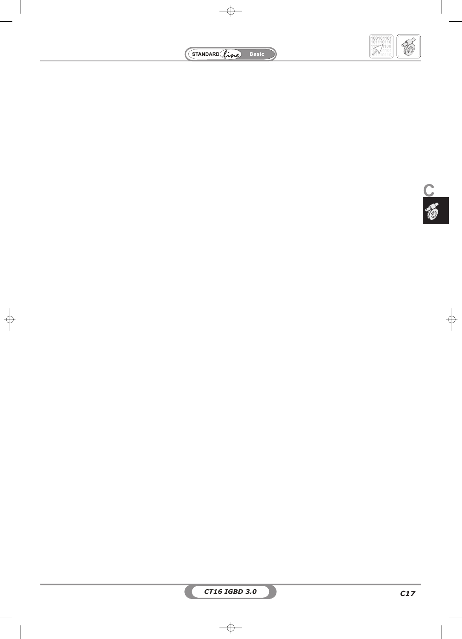



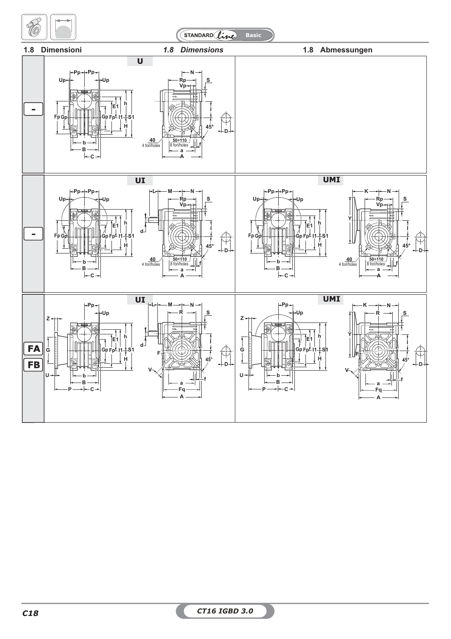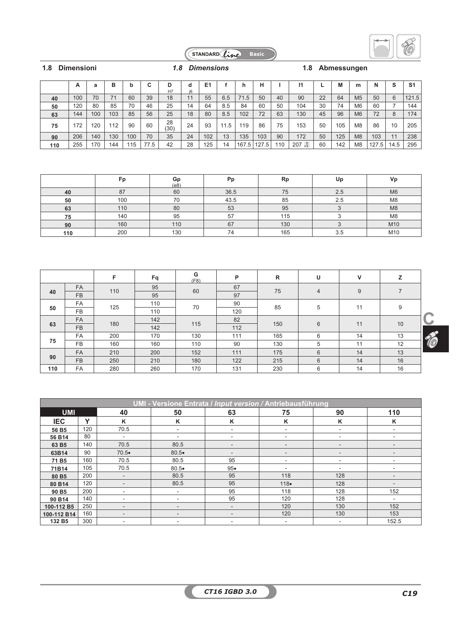



## **1.8 Dimensioni** *1.8 Dimensions* **1.8 Abmessungen**

|     | A   | a   | в   | b   | C    | D          | d  | E <sub>1</sub> |      | h     | н     |     | 11                 |    | M   | m              | N     | S    | -S1   |
|-----|-----|-----|-----|-----|------|------------|----|----------------|------|-------|-------|-----|--------------------|----|-----|----------------|-------|------|-------|
|     |     |     |     |     |      | H7         | i6 |                |      |       |       |     |                    |    |     |                |       |      |       |
| 40  | 100 | 70  | 71  | 60  | 39   | 18         | 11 | 55             | 6.5  | 71.5  | 50    | 40  | 90                 | 22 | 64  | M <sub>5</sub> | 50    | 6    | 121.5 |
| 50  | 120 | 80  | 85  | 70  | 46   | 25         | 14 | 64             | 8.5  | 84    | 60    | 50  | 104                | 30 | 74  | M <sub>6</sub> | 60    |      | 144   |
| 63  | 144 | 100 | 103 | 85  | 56   | 25         | 18 | 80             | 8.5  | 102   | 72    | 63  | 130                | 45 | 96  | M <sub>6</sub> | 72    | 8    | 174   |
| 75  | 172 | 120 | 112 | 90  | 60   | 28<br>(30) | 24 | 93             | 11.5 | 119   | 86    | 75  | 153                | 50 | 105 | M <sub>8</sub> | 86    | 10   | 205   |
| 90  | 206 | 140 | 130 | 100 | 70   | 35         | 24 | 102            | 13   | 135   | 103   | 90  | 172                | 50 | 125 | M8             | 103   | 11   | 238   |
| 110 | 255 | 170 | 144 | 115 | 77.5 | 42         | 28 | 125            | 14   | 167.5 | 127.5 | 110 | $^{0}_{+3}$<br>207 | 60 | 142 | M <sub>8</sub> | 127.5 | 14.5 | 295   |

|     | Fp  | Gp<br>(e8) | Pp   | <b>Rp</b> | Up  | Vp             |
|-----|-----|------------|------|-----------|-----|----------------|
| 40  | 87  | 60         | 36.5 | 75        | 2.5 | M <sub>6</sub> |
| 50  | 100 | 70         | 43.5 | 85        | 2.5 | M <sub>8</sub> |
| 63  | 110 | 80         | 53   | 95        |     | M <sub>8</sub> |
| 75  | 140 | 95         | 57   | 115       |     | M8             |
| 90  | 160 | 110        | 67   | 130       |     | M10            |
| 110 | 200 | 130        | 74   | 165       | 3.5 | M10            |

|     |           | F   | Fq  | G<br>(F8) | P   | R   | U              | $\mathsf{v}$ | z  |
|-----|-----------|-----|-----|-----------|-----|-----|----------------|--------------|----|
|     | <b>FA</b> | 110 | 95  | 60        | 67  | 75  | $\overline{4}$ | 9            |    |
| 40  | <b>FB</b> |     | 95  |           | 97  |     |                |              |    |
|     | FA        | 125 | 110 | 70        | 90  | 85  | 5              | 11           |    |
| 50  | <b>FB</b> |     | 110 |           | 120 |     |                |              | 9  |
|     | <b>FA</b> | 180 | 142 | 115       | 82  |     |                | 11           |    |
| 63  | FB        |     | 142 |           | 112 | 150 | 6              |              | 10 |
|     | FA        | 200 | 170 | 130       | 111 | 165 | 6              | 14           | 13 |
| 75  | <b>FB</b> | 160 | 160 | 110       | 90  | 130 | 5              | 11           | 12 |
|     | <b>FA</b> | 210 | 200 | 152       | 111 | 175 | 6              | 14           | 13 |
| 90  | <b>FB</b> | 250 | 210 | 180       | 122 | 215 | 6              | 14           | 16 |
| 110 | FA        | 280 | 260 | 170       | 131 | 230 | 6              | 14           | 16 |

| UMI - Versione Entrata / Input version / Antriebausführung |             |                          |                          |                          |                          |                          |                          |  |  |  |  |  |
|------------------------------------------------------------|-------------|--------------------------|--------------------------|--------------------------|--------------------------|--------------------------|--------------------------|--|--|--|--|--|
| <b>UMI</b>                                                 |             | 40                       | 50                       | 63                       | 75                       | 90                       | 110                      |  |  |  |  |  |
| <b>IEC</b>                                                 | $\mathbf v$ | Κ                        | Κ                        | Κ                        | Κ                        | K                        | Κ                        |  |  |  |  |  |
| 56 B5                                                      | 120         | 70.5                     | $\overline{\phantom{a}}$ | $\overline{\phantom{a}}$ | ٠                        | $\overline{\phantom{a}}$ | $\sim$                   |  |  |  |  |  |
| 56 B14                                                     | 80          | $\overline{\phantom{a}}$ | ٠                        | $\overline{\phantom{a}}$ | $\overline{\phantom{a}}$ | $\overline{\phantom{a}}$ | ٠                        |  |  |  |  |  |
| 63 B5                                                      | 140         | 70.5                     | 80.5                     |                          |                          |                          |                          |  |  |  |  |  |
| 63B14                                                      | 90          | $70.5\bullet$            | $80.5\bullet$            | $\overline{\phantom{0}}$ | $\overline{\phantom{a}}$ | $\qquad \qquad$          | $\overline{\phantom{0}}$ |  |  |  |  |  |
| 71 B <sub>5</sub>                                          | 160         | 70.5                     | 80.5                     | 95                       | ٠                        | $\overline{\phantom{a}}$ | ٠                        |  |  |  |  |  |
| 71B14                                                      | 105         | 70.5                     | $80.5\bullet$            | $95\bullet$              | $\overline{\phantom{0}}$ |                          |                          |  |  |  |  |  |
| 80 B <sub>5</sub>                                          | 200         | $\overline{\phantom{a}}$ | 80.5                     | 95                       | 118                      | 128                      | $\overline{\phantom{0}}$ |  |  |  |  |  |
| 80 B14                                                     | 120         | $\overline{\phantom{a}}$ | 80.5                     | 95                       | $118 -$                  | 128                      | $\overline{\phantom{0}}$ |  |  |  |  |  |
| 90 <sub>B5</sub>                                           | 200         | ٠                        | $\overline{\phantom{a}}$ | 95                       | 118                      | 128                      | 152                      |  |  |  |  |  |
| 90 B14                                                     | 140         | $\overline{\phantom{a}}$ | $\overline{\phantom{a}}$ | 95                       | 120                      | 128                      | $\sim$                   |  |  |  |  |  |
| 100-112 B5                                                 | 250         | $\overline{\phantom{a}}$ | $\overline{\phantom{a}}$ | $\overline{\phantom{a}}$ | 120                      | 130                      | 152                      |  |  |  |  |  |
| 100-112 B14                                                | 160         | $\overline{\phantom{a}}$ | $\overline{\phantom{a}}$ | $\overline{\phantom{0}}$ | 120                      | 130                      | 153                      |  |  |  |  |  |
| 132 B5                                                     | 300         | ٠                        |                          |                          |                          |                          | 152.5                    |  |  |  |  |  |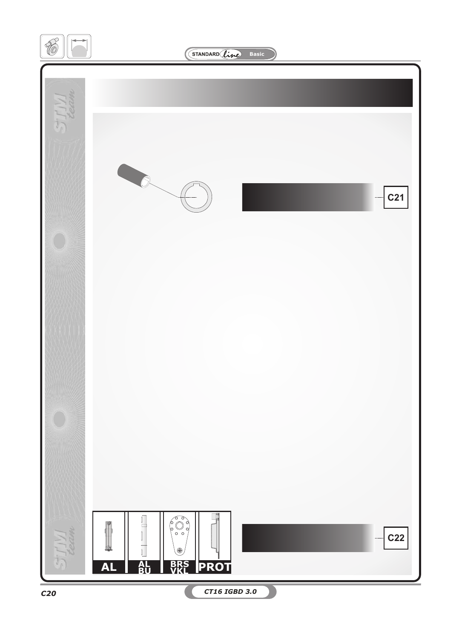

**STANDARD** (Line) Basic

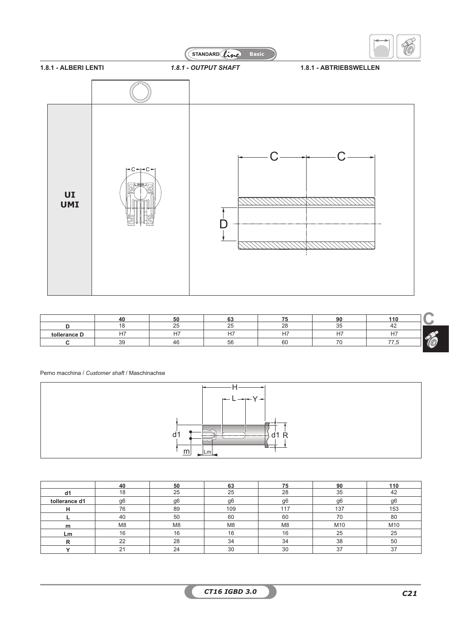

|              | 40       | 50              | uu               |             | 00<br>Ju      |                 |  |
|--------------|----------|-----------------|------------------|-------------|---------------|-----------------|--|
|              |          | $\sim$ $-$<br>∼ | $\sim$ $-$<br>∠J | $\cap$<br>້ | $\sim$ $\sim$ |                 |  |
| tollerance D | $\sim$   | .               | $\overline{1}$   | $\cdots$    | . . –         | $\overline{a}$  |  |
|              | 3d<br>◡◡ | 4r              | 56               | 60          | $-1$          | $- -$<br>$\sim$ |  |

Perno macchina / *Customer shaft* / Maschinachse



|                | 40       | 50             | 63             | 75             | 90              | 110             |
|----------------|----------|----------------|----------------|----------------|-----------------|-----------------|
| d <sub>1</sub> | 18       | 25             | 25             | 28             | 35              | 42              |
| tollerance d1  | g6       | g6             | g6             | g6             | g6              | g <sub>6</sub>  |
|                | 76       | 89             | 109            | 117            | 137             | 153             |
|                | 40       | 50             | 60             | 60             | 70              | 80              |
| m              | M8       | M <sub>8</sub> | M <sub>8</sub> | M <sub>8</sub> | M <sub>10</sub> | M <sub>10</sub> |
| Lm.            | 16       | 16             | 16             | 16             | 25              | 25              |
| D              | 22       | 28             | 34             | 34             | 38              | 50              |
|                | n,<br>∠∣ | 24             | 30             | 30             | 37              | 37              |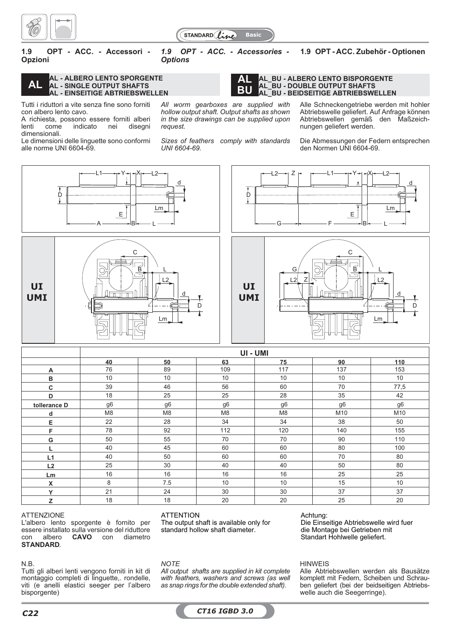



*1.9 OPT - ACC. - Accessories - Options* **1.9 OPT - ACC. Zubehör - Optionen**

## **1.9 OPT - ACC. - Accessori - Opzioni**

# **AL**

#### **AL - ALBERO LENTO SPORGENTE AL - SINGLE OUTPUT SHAFTS - EINSEITIGE ABTRIEBSWELLEN**

Tutti i riduttori a vite senza fine sono forniti con albero lento cavo.

A richiesta, possono essere forniti alberi indicato nei dimensionali.

Le dimensioni delle linguette sono conformi alle norme UNI 6604-69.

*All worm gearboxes are supplied with hollow output shaft. Output shafts as shown in the size drawings can be supplied upon request.*

**AL BU**

*Sizes of feathers comply with standards UNI 6604-69.*

Alle Schneckengetriebe werden mit hohler Abtriebswelle geliefert. Auf Anfrage können Abtriebswellen gemäß den Maßzeichnungen geliefert werden.

Die Abmessungen der Federn entsprechen den Normen UNI 6604-69.







**AL\_BU - ALBERO LENTO BISPORGENTE AL\_BU - DOUBLE OUTPUT SHAFTS AL\_BU - BEIDSEITIGE ABTRIEBSWELLEN**



|              | UI - UMI       |                |                |                |     |                 |
|--------------|----------------|----------------|----------------|----------------|-----|-----------------|
|              | 40             | 50             | 63             | 75             | 90  | 110             |
| A            | 76             | 89             | 109            | 117            | 137 | 153             |
| В            | 10             | 10             | 10             | 10             | 10  | 10 <sup>°</sup> |
| C            | 39             | 46             | 56             | 60             | 70  | 77,5            |
| D            | 18             | 25             | 25             | 28             | 35  | 42              |
| tollerance D | g6             | g6             | g6             | g6             | g6  | <b>g</b> 6      |
| d            | M <sub>8</sub> | M <sub>8</sub> | M <sub>8</sub> | M <sub>8</sub> | M10 | M10             |
| Е            | 22             | 28             | 34             | 34             | 38  | 50              |
| F            | 78             | 92             | 112            | 120            | 140 | 155             |
| G            | 50             | 55             | 70             | 70             | 90  | 110             |
| ц            | 40             | 45             | 60             | 60             | 80  | 100             |
| L1           | 40             | 50             | 60             | 60             | 70  | 80              |
| L2           | 25             | 30             | 40             | 40             | 50  | 80              |
| Lm           | 16             | 16             | 16             | 16             | 25  | 25              |
| $\mathsf{x}$ | 8              | 7.5            | 10             | 10             | 15  | 10              |
| Y            | 21             | 24             | 30             | 30             | 37  | 37              |
| z            | 18             | 18             | 20             | 20             | 25  | 20              |

#### ATTENZIONE

L'albero lento sporgente è fornito per essere installato sulla versione del riduttore<br>con albero CAVO con diametro diametro **STANDARD**.

#### N.B.

Tutti gli alberi lenti vengono forniti in kit di montaggio completi di linguette,. rondelle, viti (e anelli elastici seeger per l'albero bisporgente)

#### **ATTENTION**

The output shaft is available only for standard hollow shaft diameter.

*NOTE*

*All output shafts are supplied in kit complete with feathers, washers and screws (as well as snap rings for the double extended shaft).*

#### Achtung:

Die Einseitige Abtriebswelle wird fuer die Montage bei Getrieben mit Standart Hohlwelle geliefert.

#### **HINWEIS**

Alle Abtriebswellen werden als Bausätze komplett mit Federn, Scheiben und Schrauben geliefert (bei der beidseitigen Abtriebswelle auch die Seegerringe).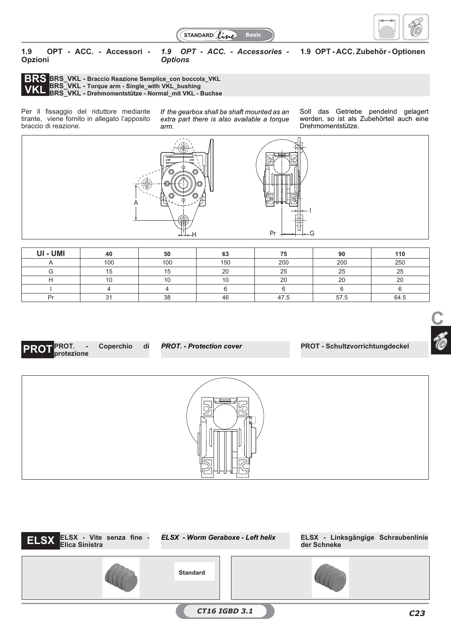



**1.9 OPT - ACC. - Accessori - Opzioni**

#### *1.9 OPT - ACC. - Accessories -* **1.9 OPT - ACC. Zubehör - Optionen**



**BRS\_VKL - Braccio Reazione Semplice\_con boccola\_VKL BRS\_VKL - Torque arm - Single\_with VKL\_bushing BRS\_VKL - Drehmomentstütze - Normal\_mit VKL - Buchse**

*Options*

Per il fissaggio del riduttore mediante tirante, viene fornito in allegato l'apposito braccio di reazione.

*If the gearbox shall be shaft mounted as an extra part there is also available a torque arm.*

Soll das Getriebe pendelnd gelagert werden, so ist als Zubehörteil auch eine Drehmomentstütze.





| UI - UMI | 40  | 50  | co<br>ხა | 75   | 90       | 110  |
|----------|-----|-----|----------|------|----------|------|
|          | 100 | 100 | 150      | 200  | 200      | 250  |
|          | ∣ວ  | 15  | 20       | 25   | 25       | 25   |
|          |     | 10  |          | 20   | ററ<br>ZU | 20   |
|          |     |     |          |      |          |      |
| Dr.      |     | 38  |          | 47.5 | 57.5     | 64.5 |